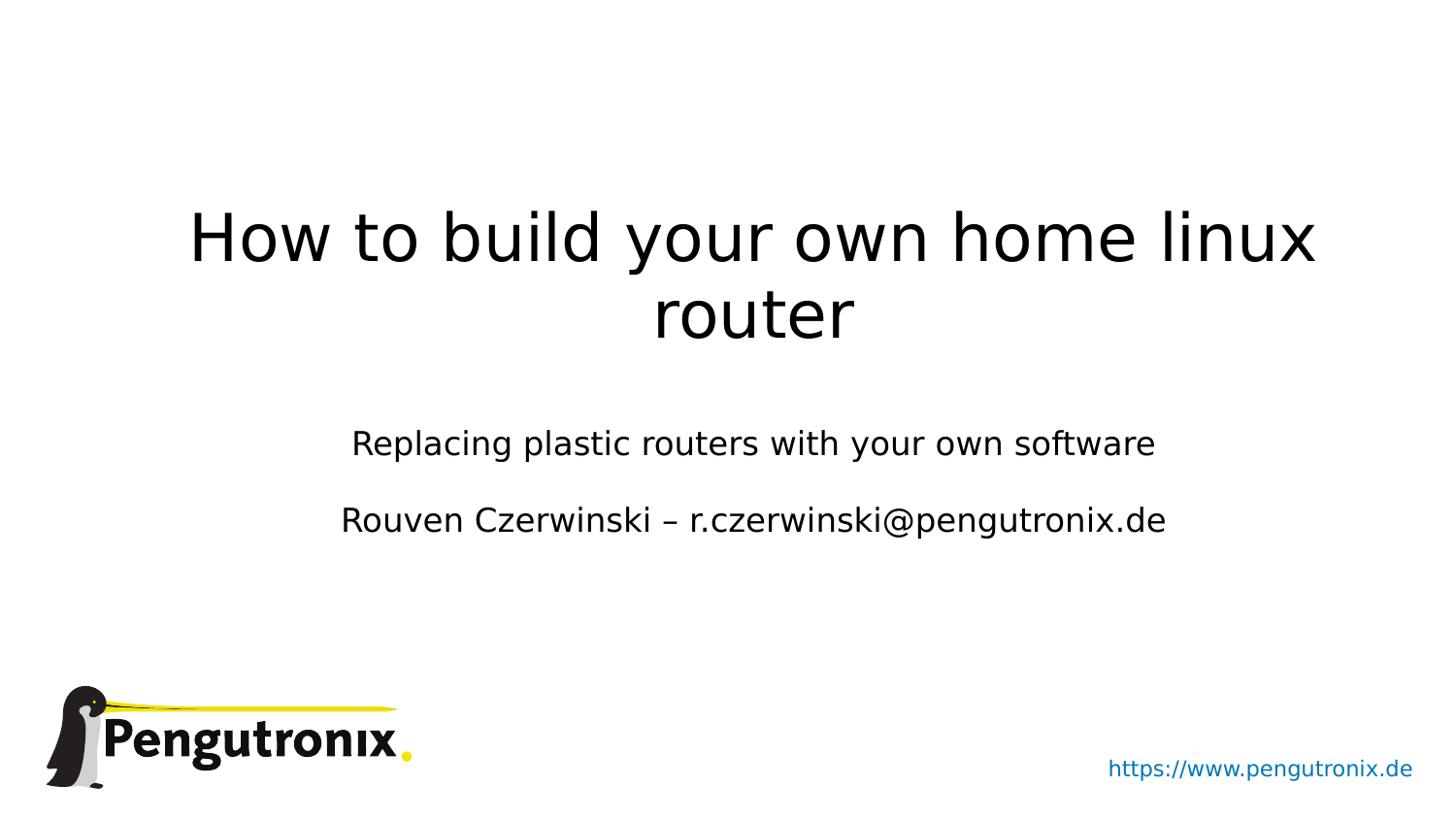# How to build your own home linux router

Replacing plastic routers with your own software

Rouven Czerwinski – r.czerwinski@pengutronix.de



https://www.pengutronix.de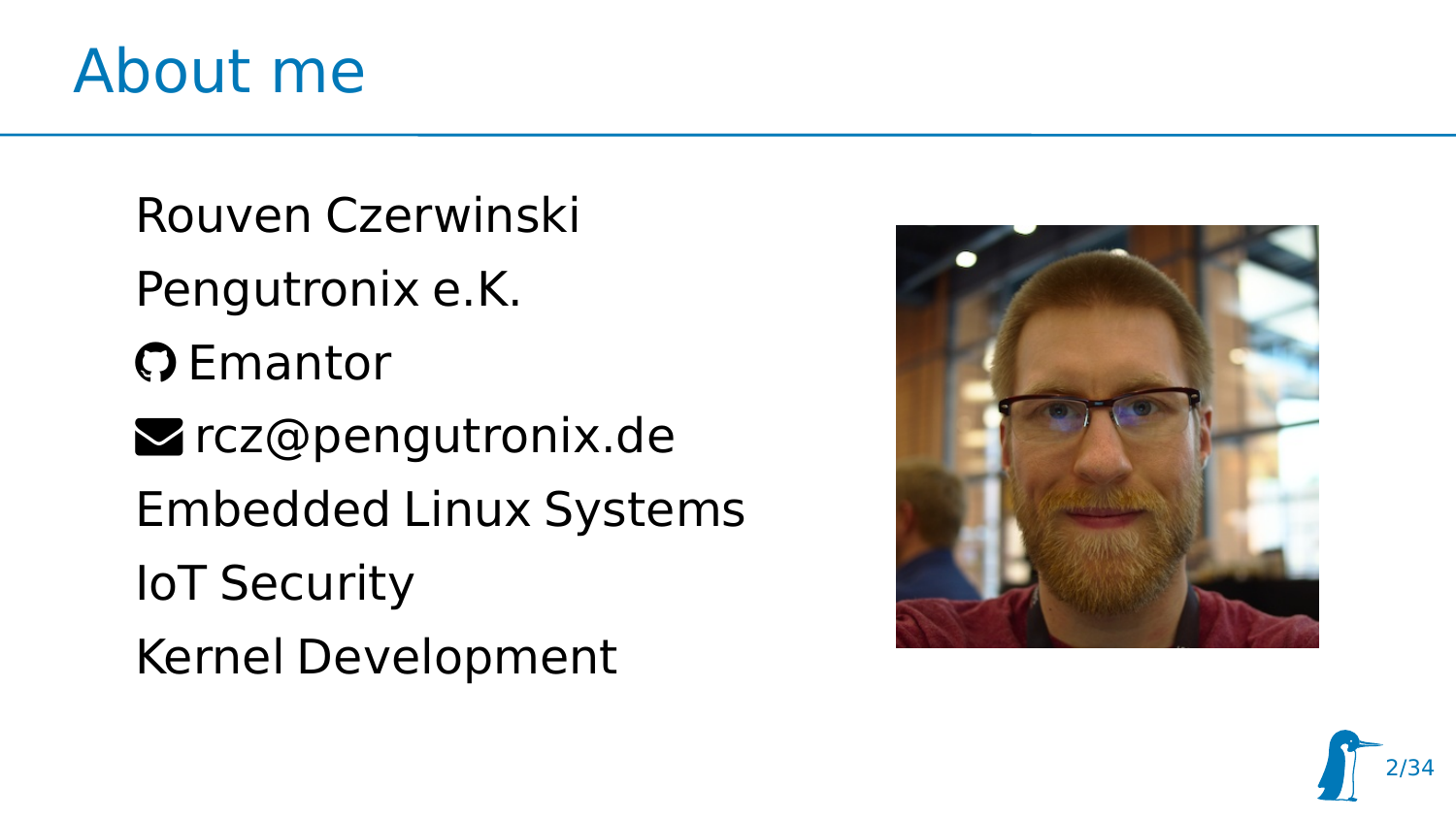

Rouven Czerwinski Pengutronix e.K. **O** Emantor **z** rcz@pengutronix.de Embedded Linux Systems IoT Security Kernel Development



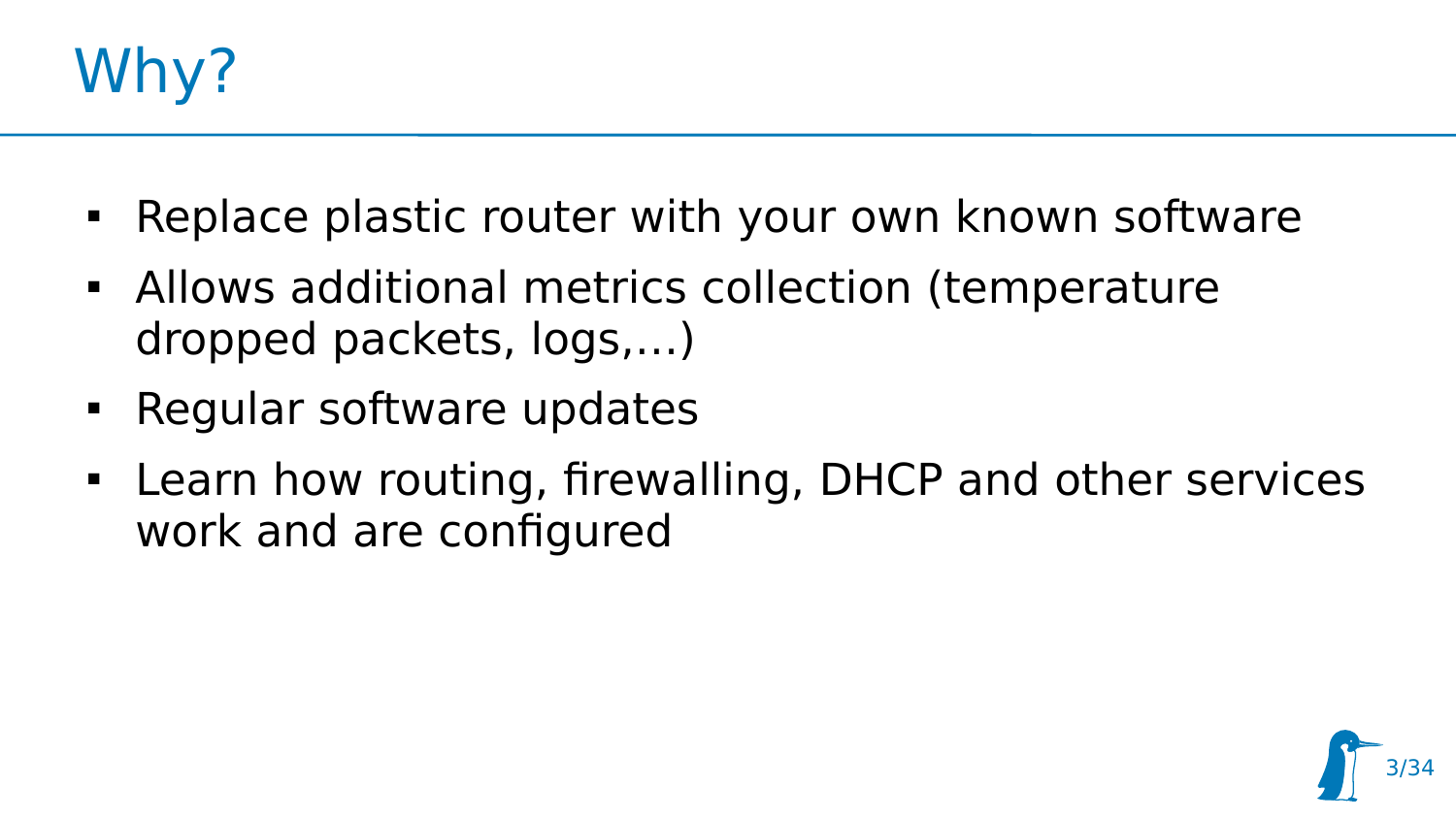

- Replace plastic router with your own known software
- Allows additional metrics collection (temperature dropped packets, logs,…)
- **-** Regular software updates
- Learn how routing, firewalling, DHCP and other services work and are configured

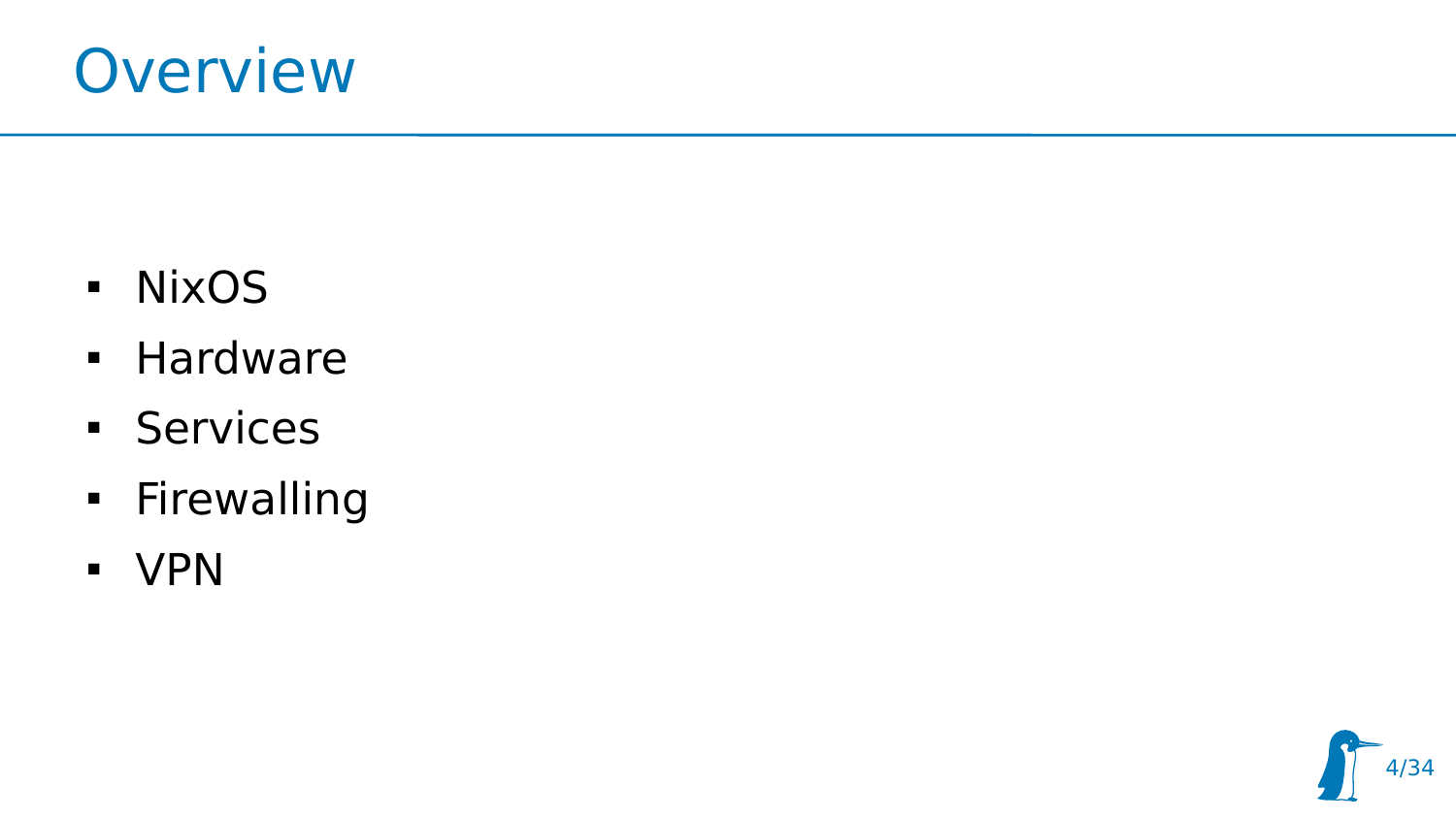

- NixOS
- **Hardware**
- **Services**
- **-** Firewalling
- VPN

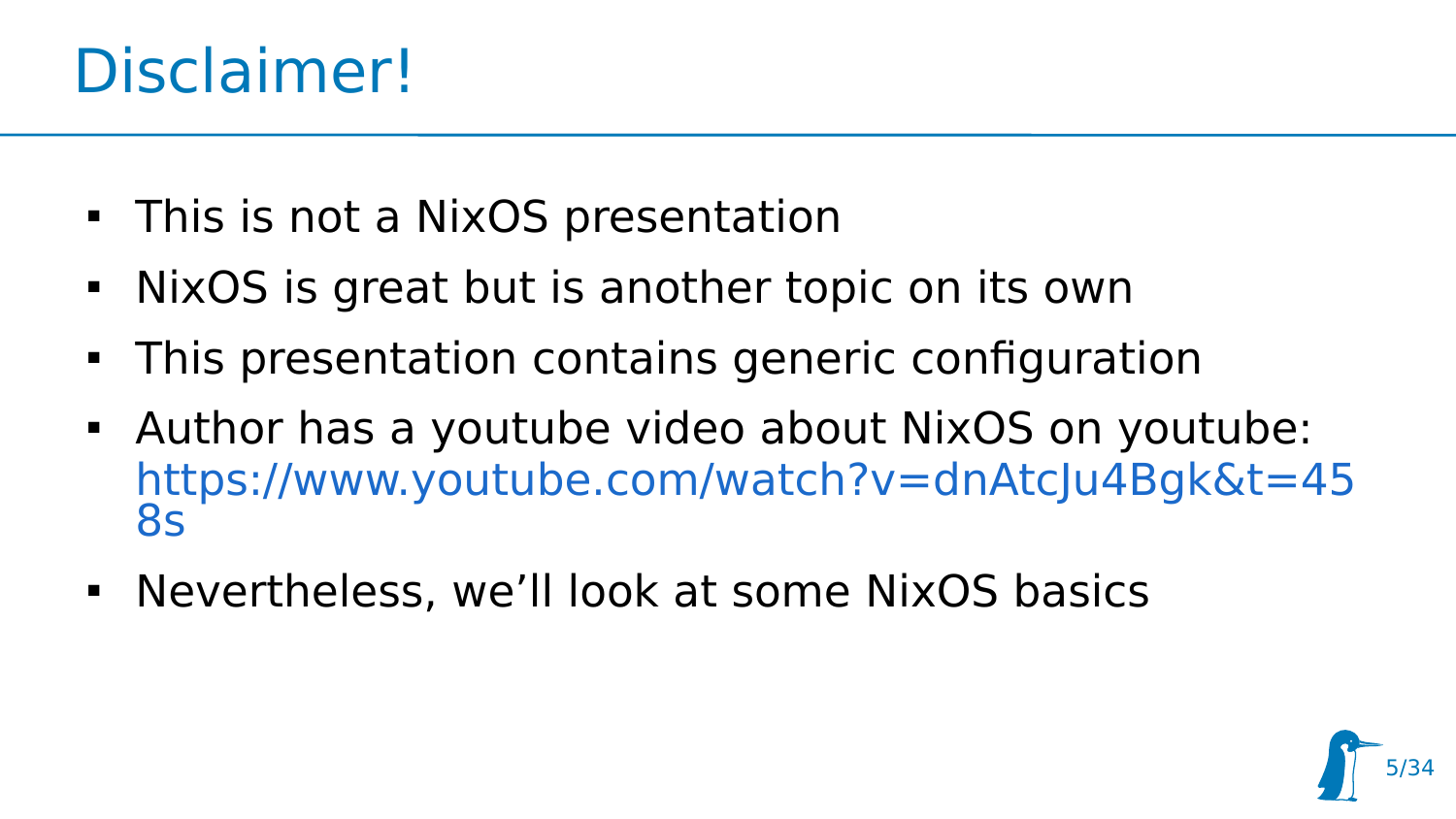#### Disclaimer!

- This is not a NixOS presentation
- NixOS is great but is another topic on its own
- This presentation contains generic configuration
- Author has a youtube video about NixOS on youtube: [https://www.youtube.com/watch?v=dnAtcJu4Bgk&t=45](https://www.youtube.com/watch?v=dnAtcJu4Bgk&t=458s) [8s](https://www.youtube.com/watch?v=dnAtcJu4Bgk&t=458s)
- Nevertheless, we'll look at some NixOS basics

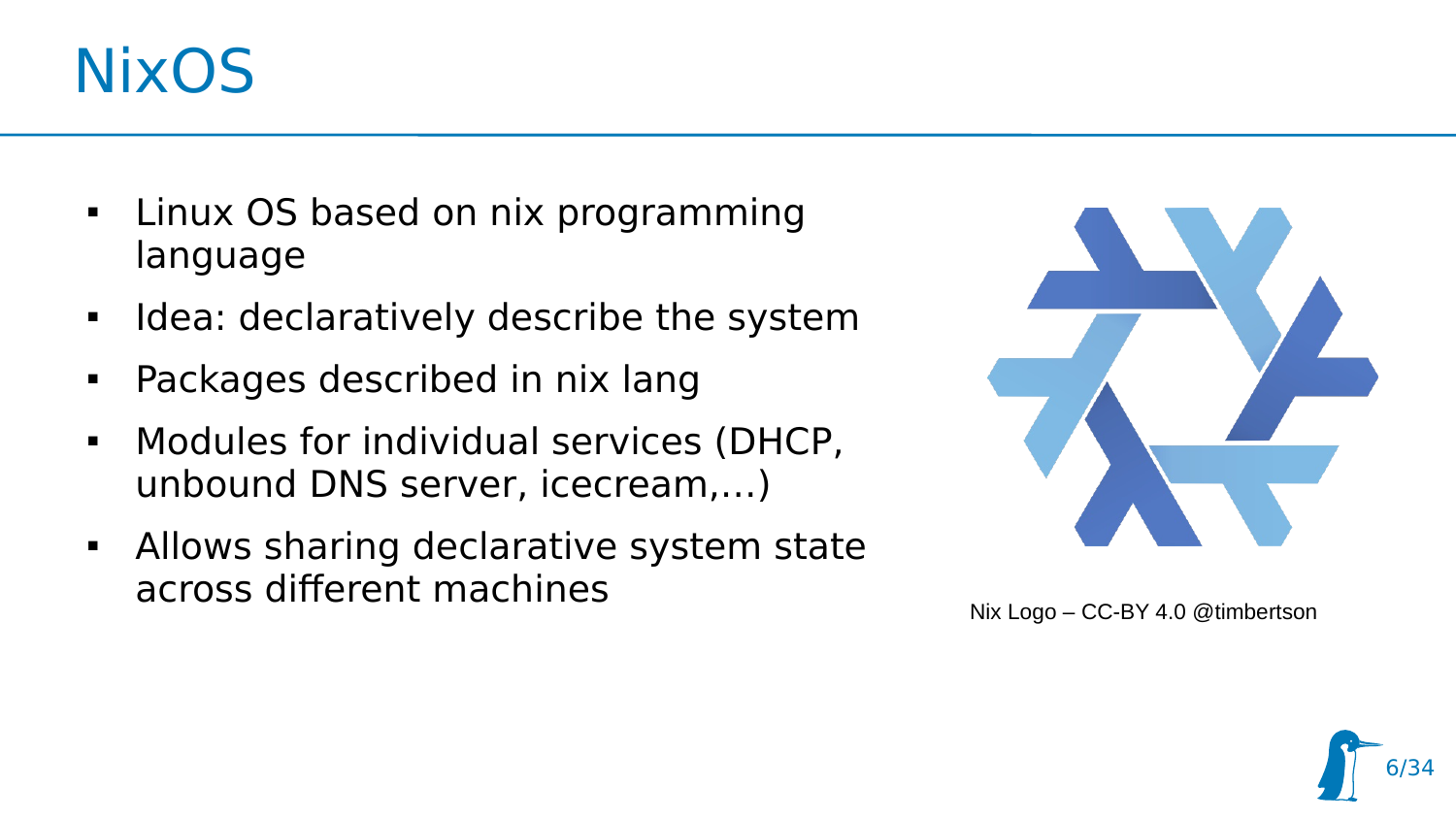#### **NixOS**

- Linux OS based on nix programming language
- $\blacksquare$ Idea: declaratively describe the system
- Packages described in nix lang
- Modules for individual services (DHCP, unbound DNS server, icecream,…)
- Allows sharing declarative system state across different machines



Nix Logo – CC-BY 4.0 @timbertson

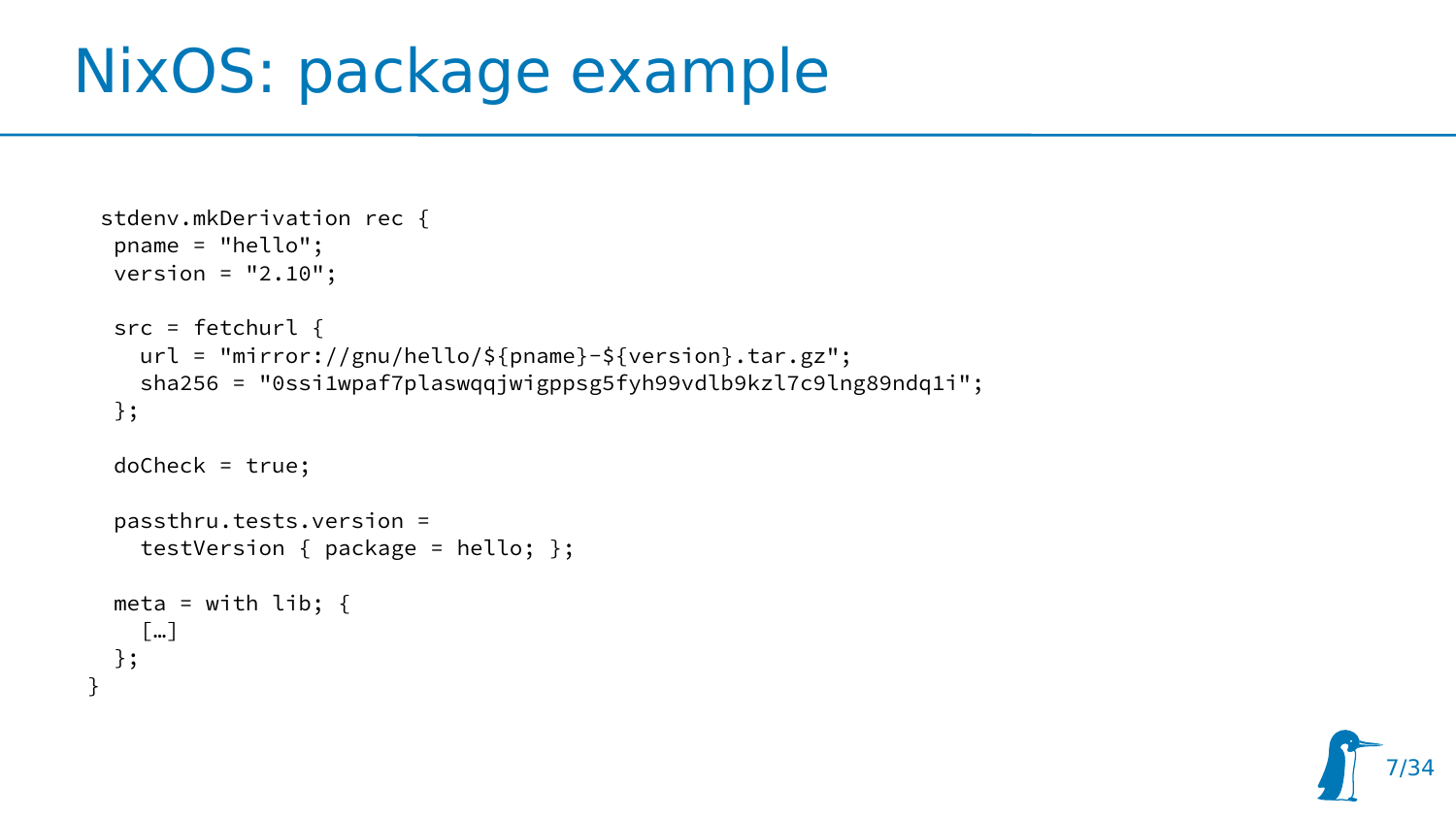#### NixOS: package example

}

```
stdenv.mkDerivation rec {
 pname = "hello";
 version = "2.10";
src = fetchurl {
   url = "mirror://gnu/hello/${pname}-${version}.tar.gz";
    sha256 = "0ssi1wpaf7plaswqqjwigppsg5fyh99vdlb9kzl7c9lng89ndq1i";
 };
 doCheck = true;
 passthru.tests.version =
    testVersion { package = hello; };
meta = with lib; \{ […]
 };
```
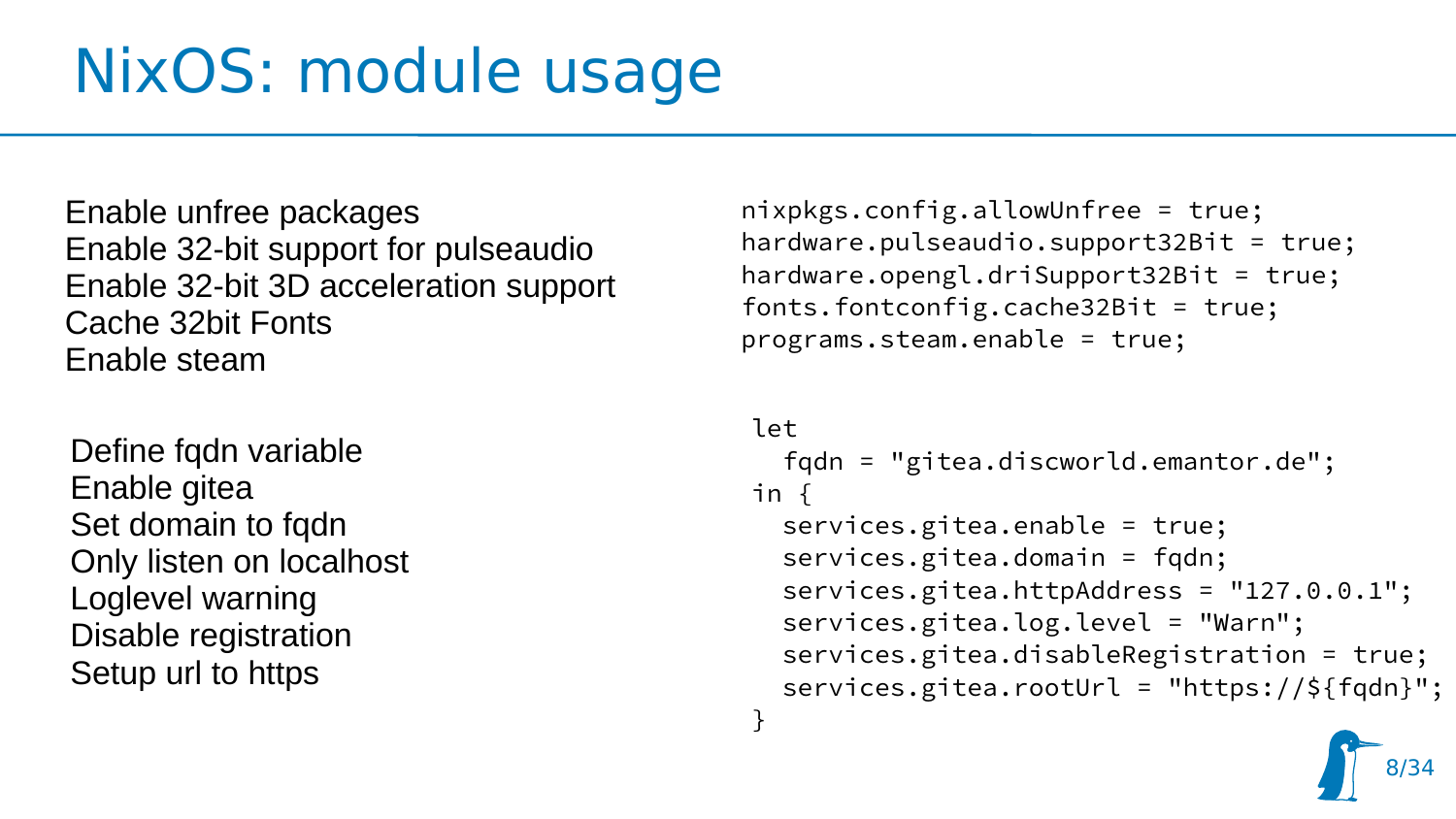## NixOS: module usage

Enable unfree packages Enable 32-bit support for pulseaudio Enable 32-bit 3D acceleration support Cache 32bit Fonts Enable steam

Define fqdn variable Enable gitea Set domain to fqdn Only listen on localhost Loglevel warning Disable registration Setup url to https

nixpkgs.config.allowUnfree = true; hardware.pulseaudio.support32Bit = true; hardware.opengl.driSupport32Bit = true; fonts.fontconfig.cache32Bit = true; programs.steam.enable = true;

```
let
   fqdn = "gitea.discworld.emantor.de";
in {
   services.gitea.enable = true;
   services.gitea.domain = fqdn;
   services.gitea.httpAddress = "127.0.0.1";
   services.gitea.log.level = "Warn";
   services.gitea.disableRegistration = true;
   services.gitea.rootUrl = "https://${fqdn}";
}
```
8/34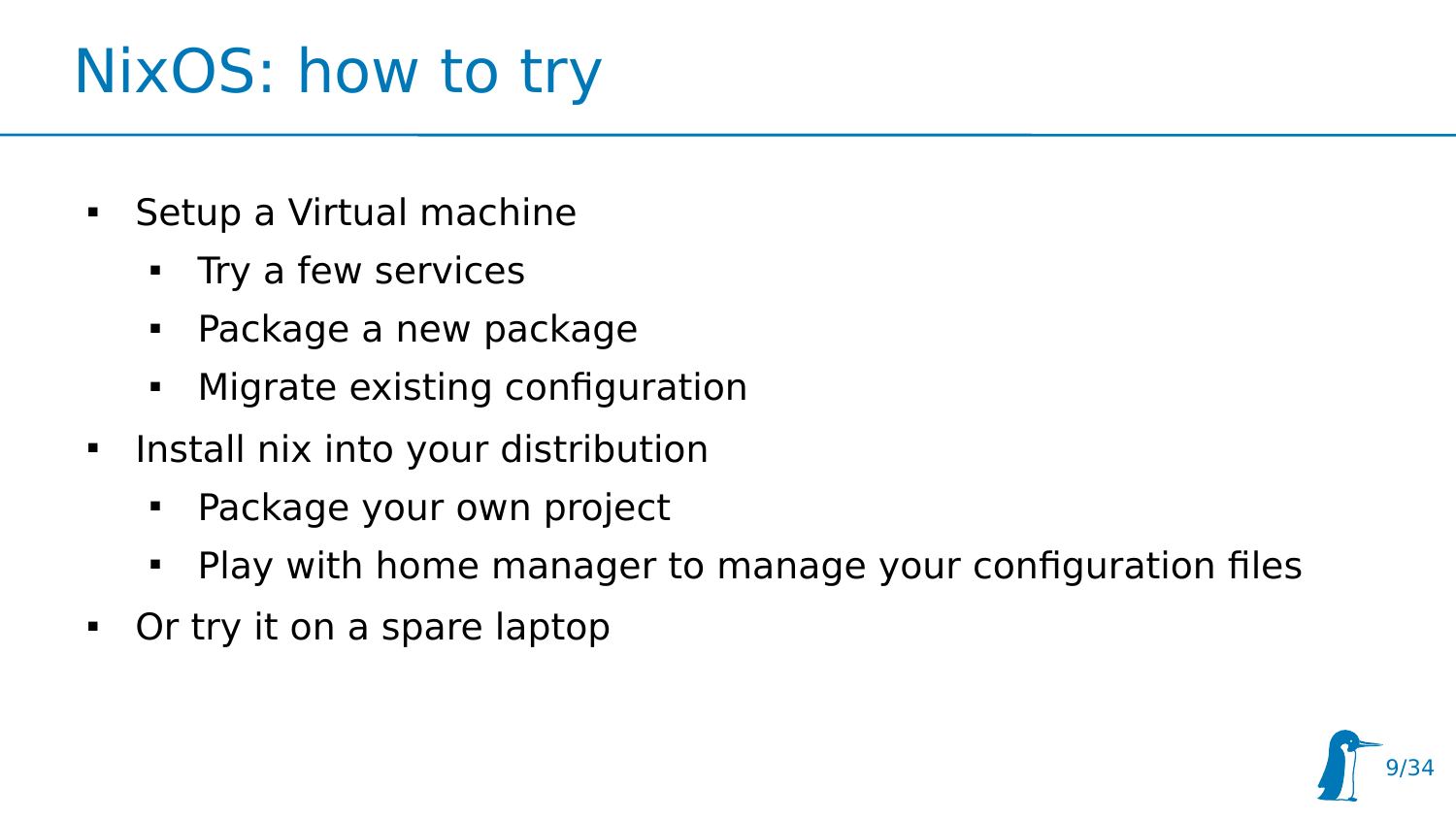## NixOS: how to try

- Setup a Virtual machine
	- **Try a few services**
	- Package a new package
	- **Migrate existing configuration**
- $\blacksquare$ Install nix into your distribution
	- Package your own project
	- Play with home manager to manage your configuration files
- Or try it on a spare laptop

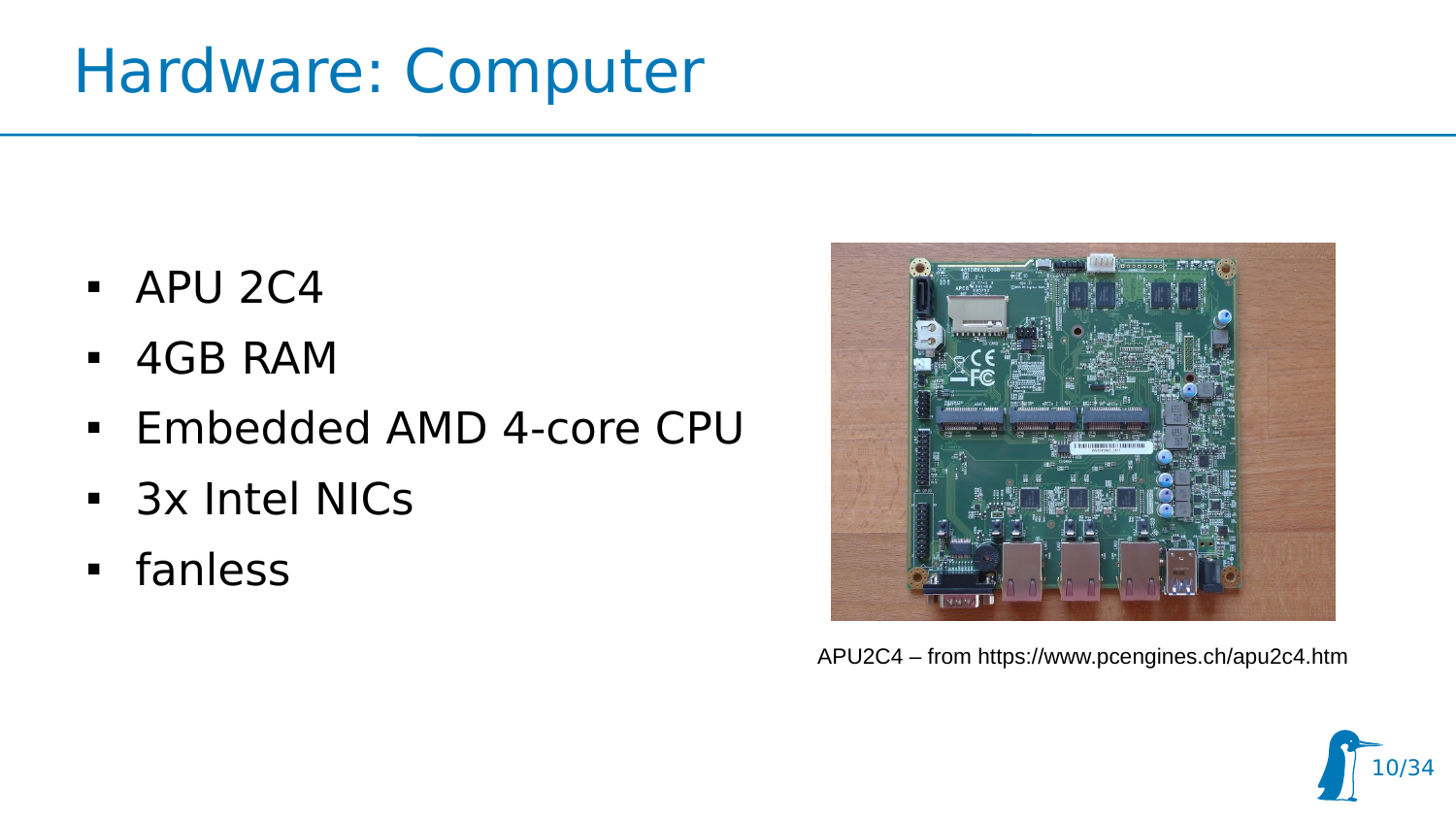#### Hardware: Computer

- APU 2C4
- 4GB RAM
- Embedded AMD 4-core CPU
- 3x Intel NICs
- fanless



APU2C4 – from https://www.pcengines.ch/apu2c4.htm

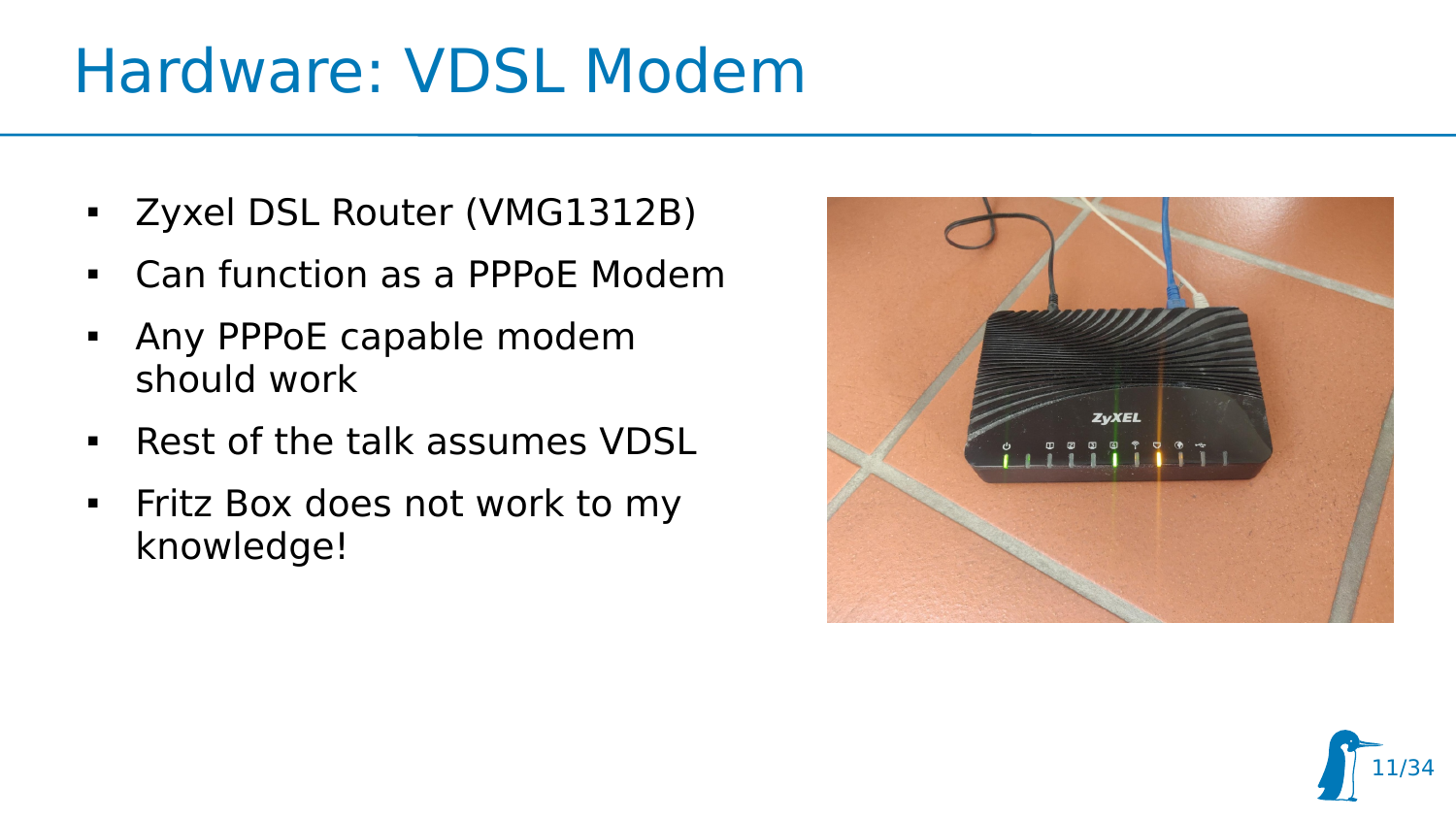### Hardware: VDSL Modem

- Zyxel DSL Router (VMG1312B)
- Can function as a PPPoE Modem
- **-** Any PPPoE capable modem should work
- Rest of the talk assumes VDSL
- **Fitz Box does not work to my** knowledge!



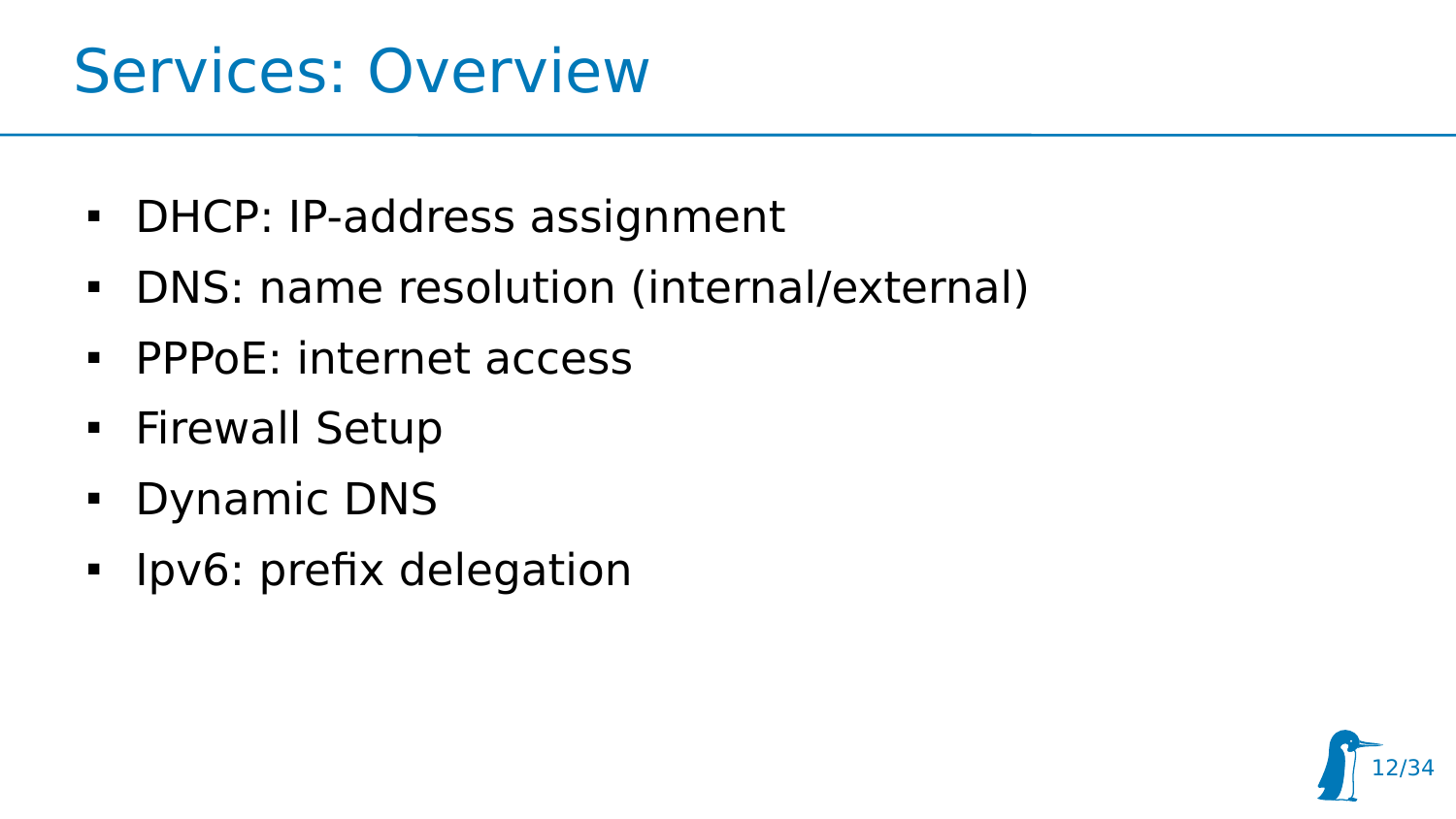#### Services: Overview

- DHCP: IP-address assignment
- DNS: name resolution (internal/external)
- **PPPOE: internet access**
- **Firewall Setup**
- Dynamic DNS
- **I** Ipv6: prefix delegation

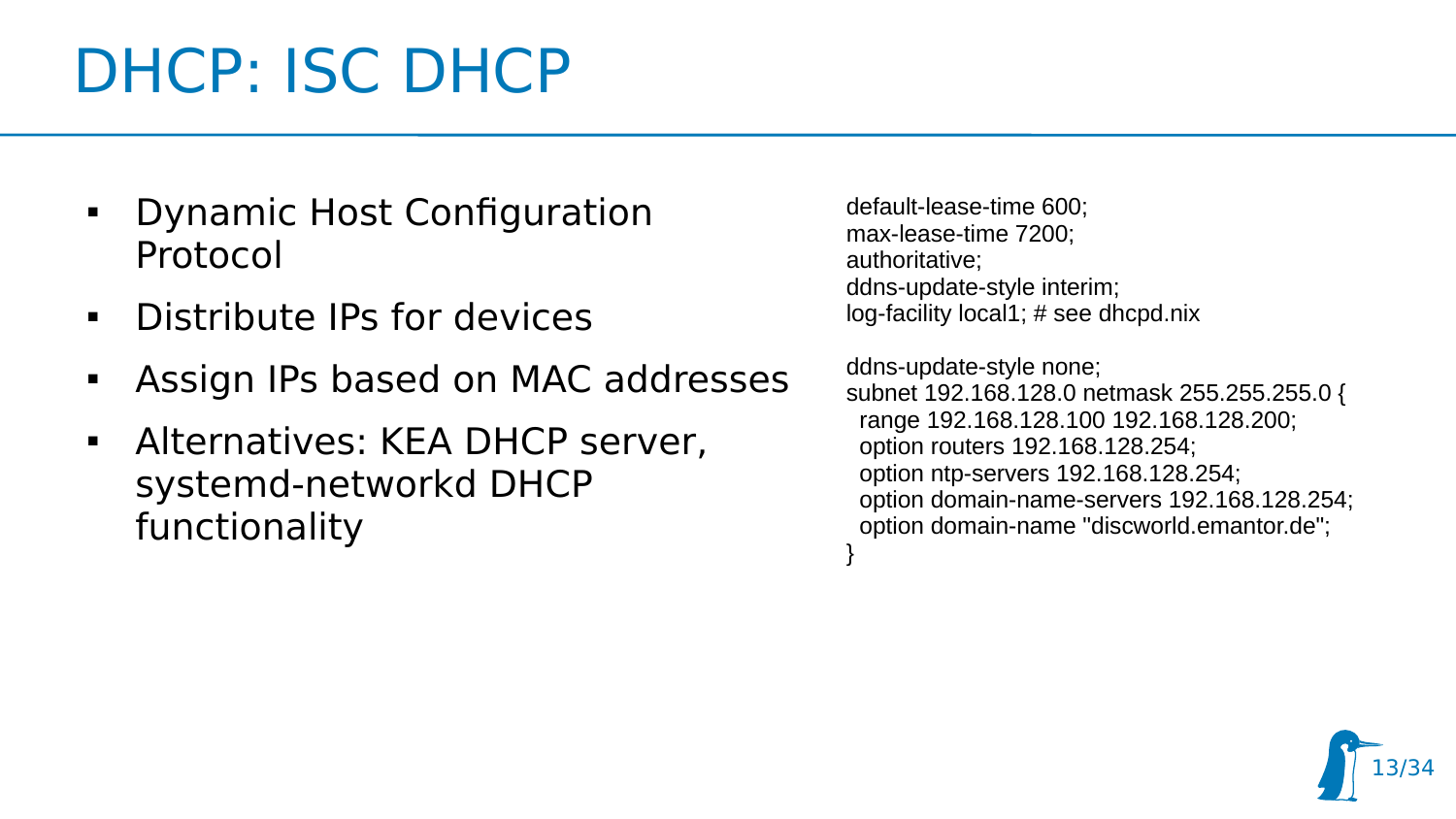## DHCP: ISC DHCP

- **Dynamic Host Configuration** Protocol
- Distribute IPs for devices
- Assign IPs based on MAC addresses
- Alternatives: KEA DHCP server, systemd-networkd DHCP functionality

default-lease-time 600; max-lease-time 7200; authoritative; ddns-update-style interim; log-facility local1; # see dhcpd.nix

ddns-update-style none; subnet 192.168.128.0 netmask 255.255.255.0 { range 192.168.128.100 192.168.128.200; option routers 192.168.128.254; option ntp-servers 192.168.128.254; option domain-name-servers 192.168.128.254; option domain-name "discworld.emantor.de"; }

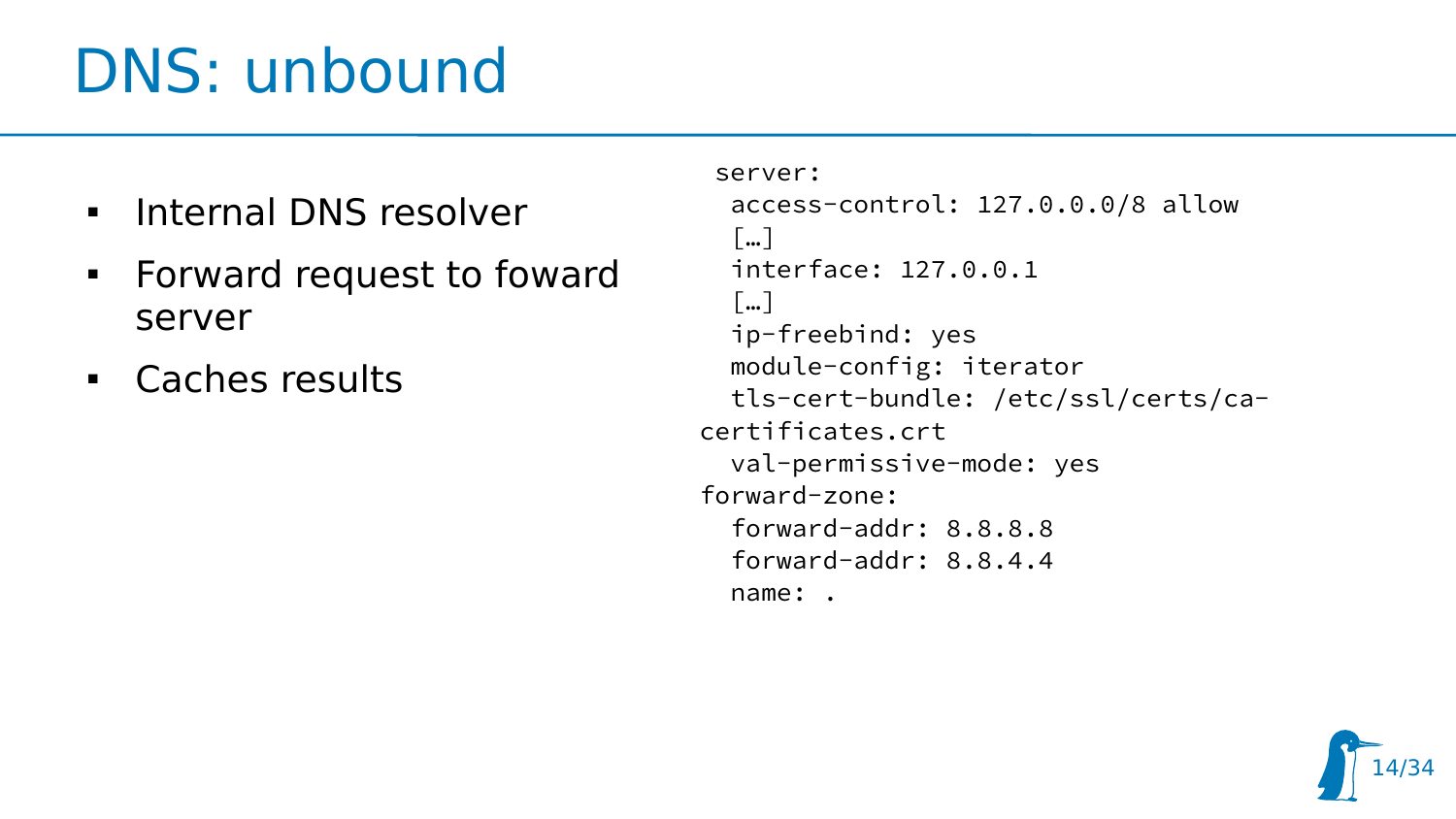## DNS: unbound

- $\blacksquare$ Internal DNS resolver
- **Forward request to foward** server
- Caches results

```
server: 
   access-control: 127.0.0.0/8 allow
  \lceil \cdot \cdot \cdot \rceil interface: 127.0.0.1
   […]
   ip-freebind: yes
   module-config: iterator
   tls-cert-bundle: /etc/ssl/certs/ca-
certificates.crt
   val-permissive-mode: yes
forward-zone:
   forward-addr: 8.8.8.8
   forward-addr: 8.8.4.4
   name: .
```
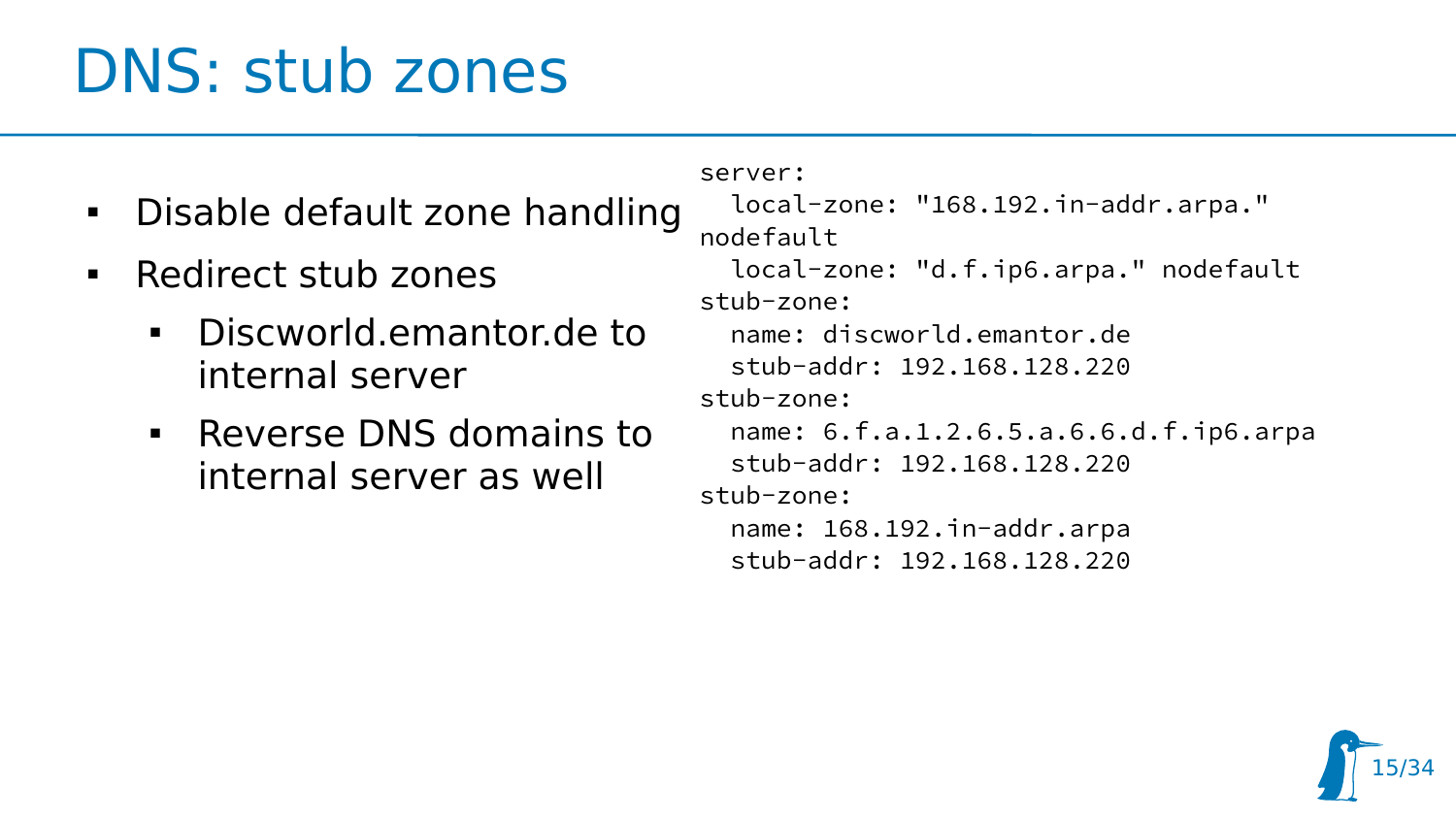### DNS: stub zones

- Disable default zone handling
- Redirect stub zones
	- Discworld.emantor.de to internal server
	- Reverse DNS domains to internal server as well

```
server:
   local-zone: "168.192.in-addr.arpa." 
nodefault
   local-zone: "d.f.ip6.arpa." nodefault
stub-zone:
   name: discworld.emantor.de
   stub-addr: 192.168.128.220
stub-zone:
   name: 6.f.a.1.2.6.5.a.6.6.d.f.ip6.arpa
   stub-addr: 192.168.128.220
stub-zone:
   name: 168.192.in-addr.arpa
   stub-addr: 192.168.128.220
```
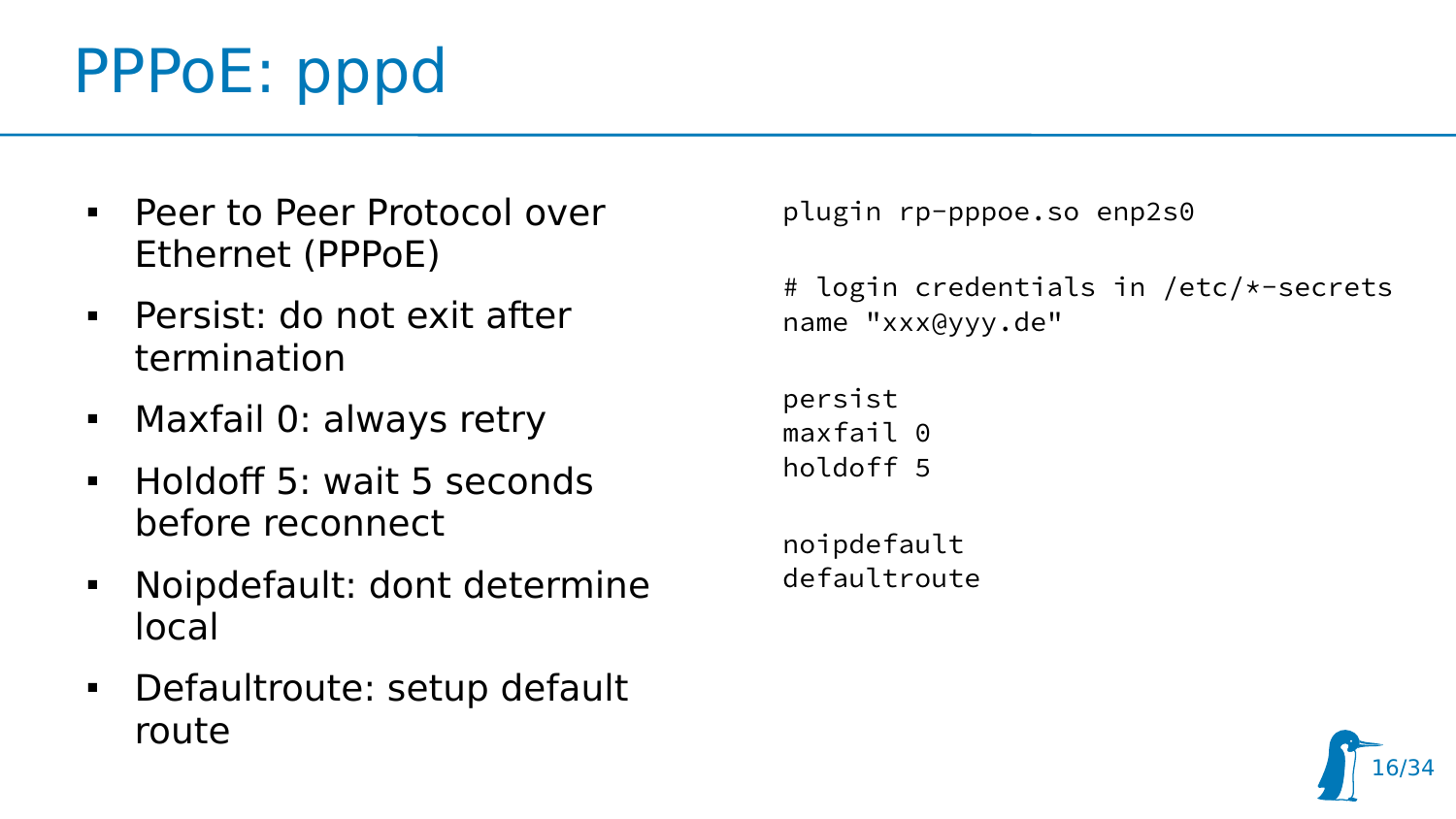## PPPoE: pppd

- Peer to Peer Protocol over Ethernet (PPPoE)
- Persist: do not exit after termination
- Maxfail 0: always retry
- Holdoff 5: wait 5 seconds before reconnect
- Noipdefault: dont determine local
- Defaultroute: setup default route

```
plugin rp-pppoe.so enp2s0
```

```
# login credentials in /etc/*-secrets
name "xxx@yyy.de"
```

```
persist
maxfail 0
holdoff 5
```
noipdefault defaultroute

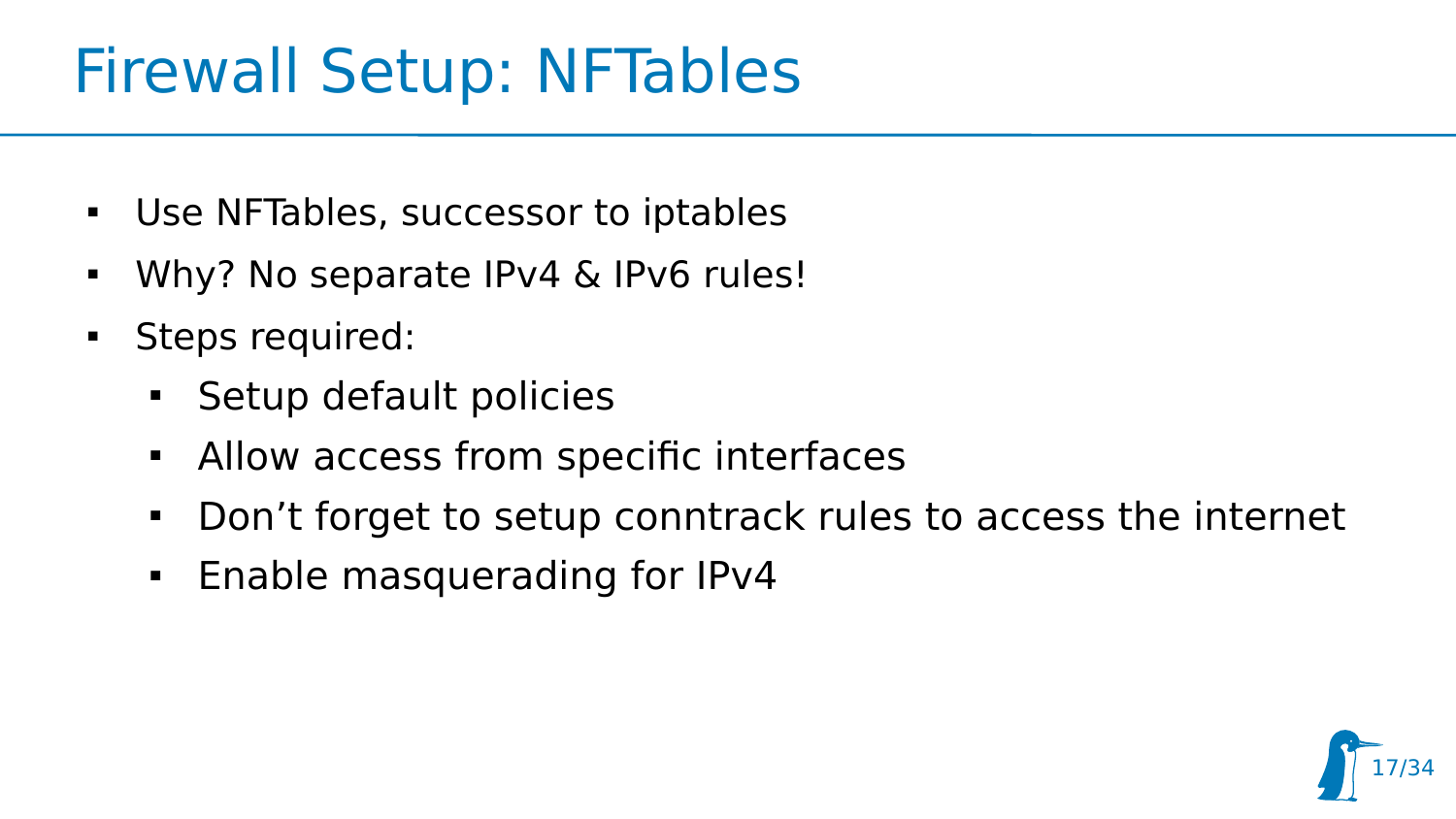### Firewall Setup: NFTables

- Use NFTables, successor to iptables
- Why? No separate IPv4 & IPv6 rules!
- **Steps required:** 
	- **Setup default policies**
	- Allow access from specific interfaces
	- Don't forget to setup conntrack rules to access the internet
	- **Enable masquerading for IPv4**

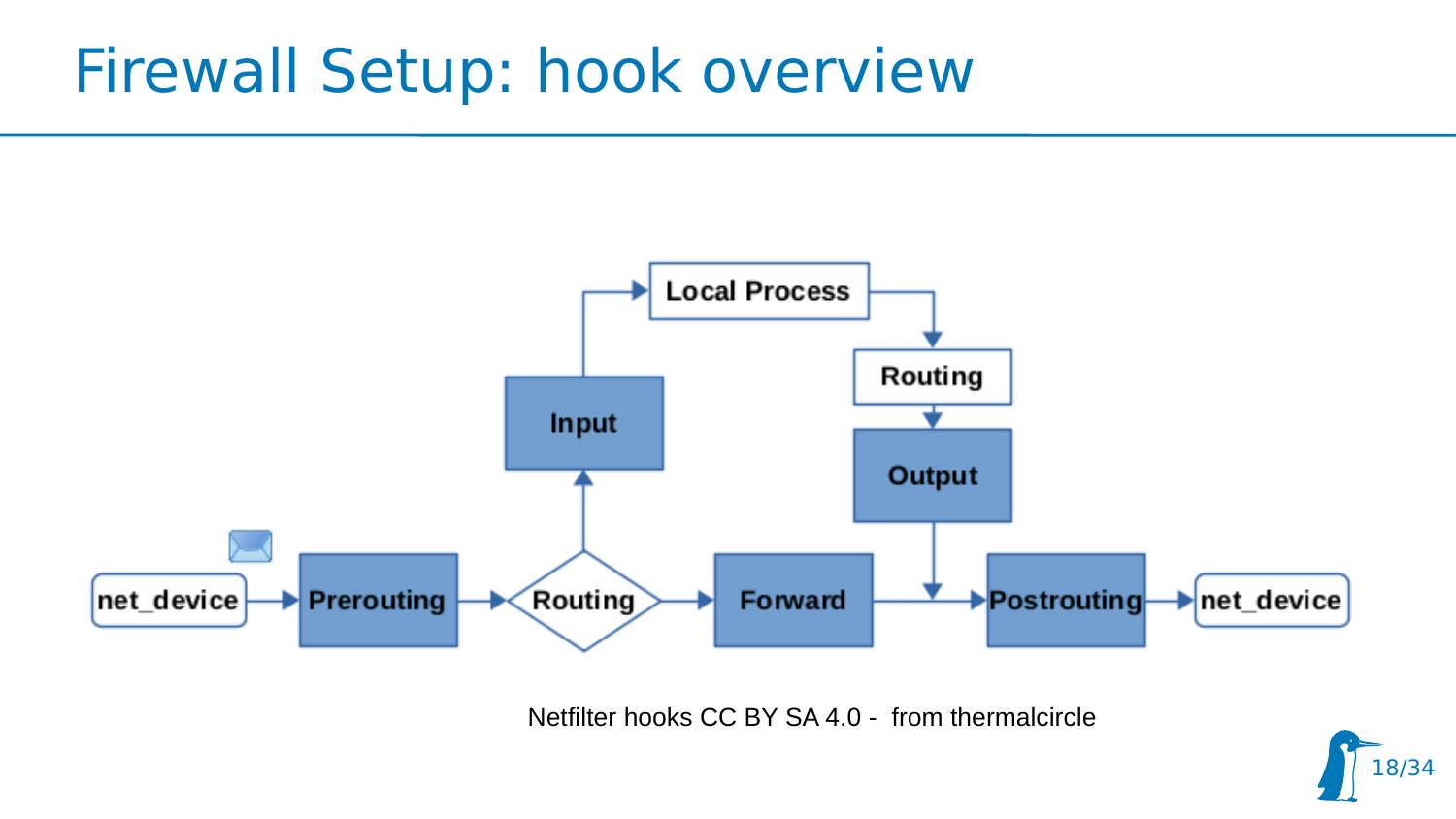#### Firewall Setup: hook overview



Netfilter hooks CC BY SA 4.0 - from thermalcircle

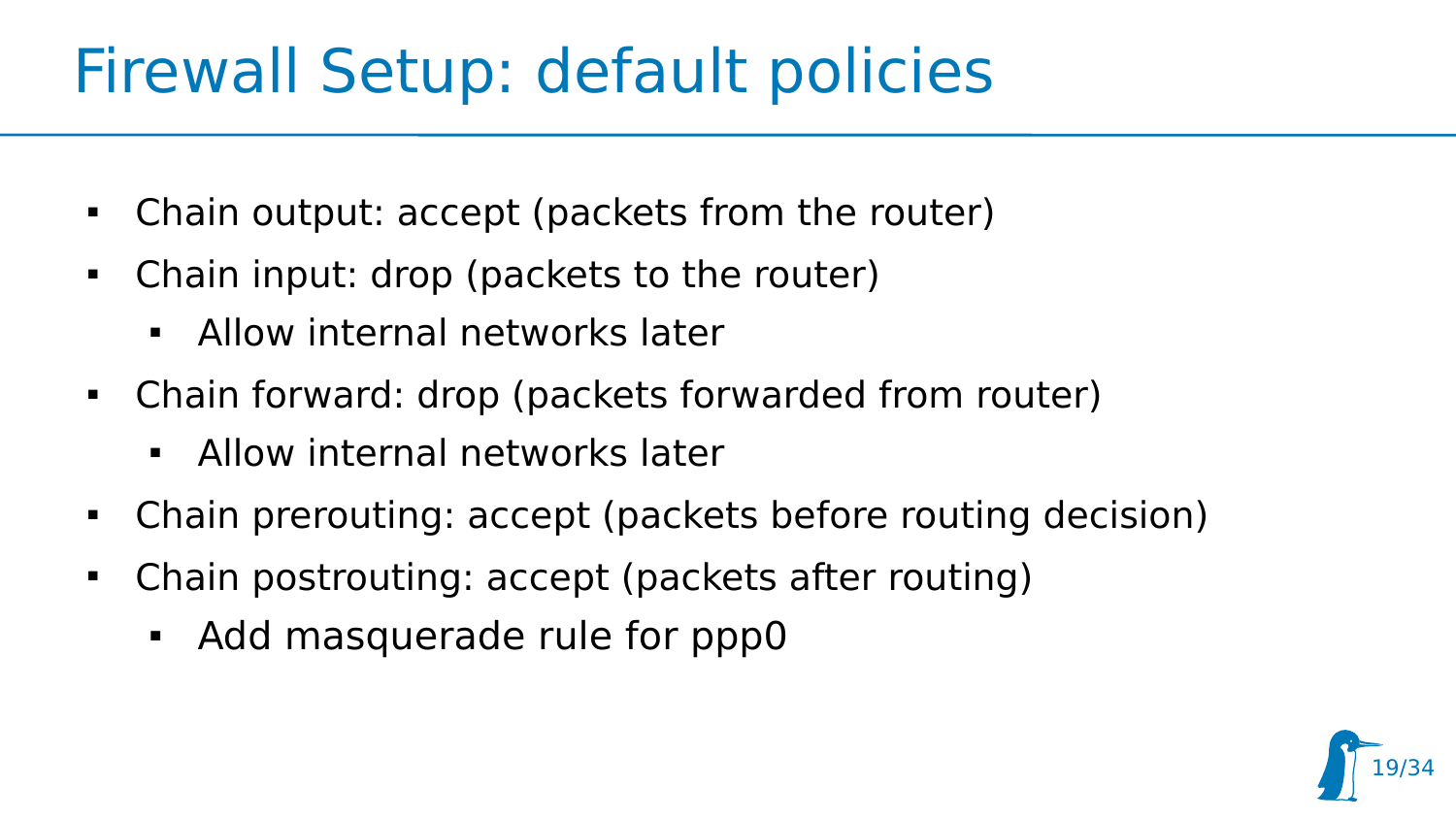### Firewall Setup: default policies

- Chain output: accept (packets from the router)
- Chain input: drop (packets to the router)
	- Allow internal networks later
- Chain forward: drop (packets forwarded from router)
	- Allow internal networks later
- Chain prerouting: accept (packets before routing decision)
- Chain postrouting: accept (packets after routing)
	- Add masquerade rule for ppp0

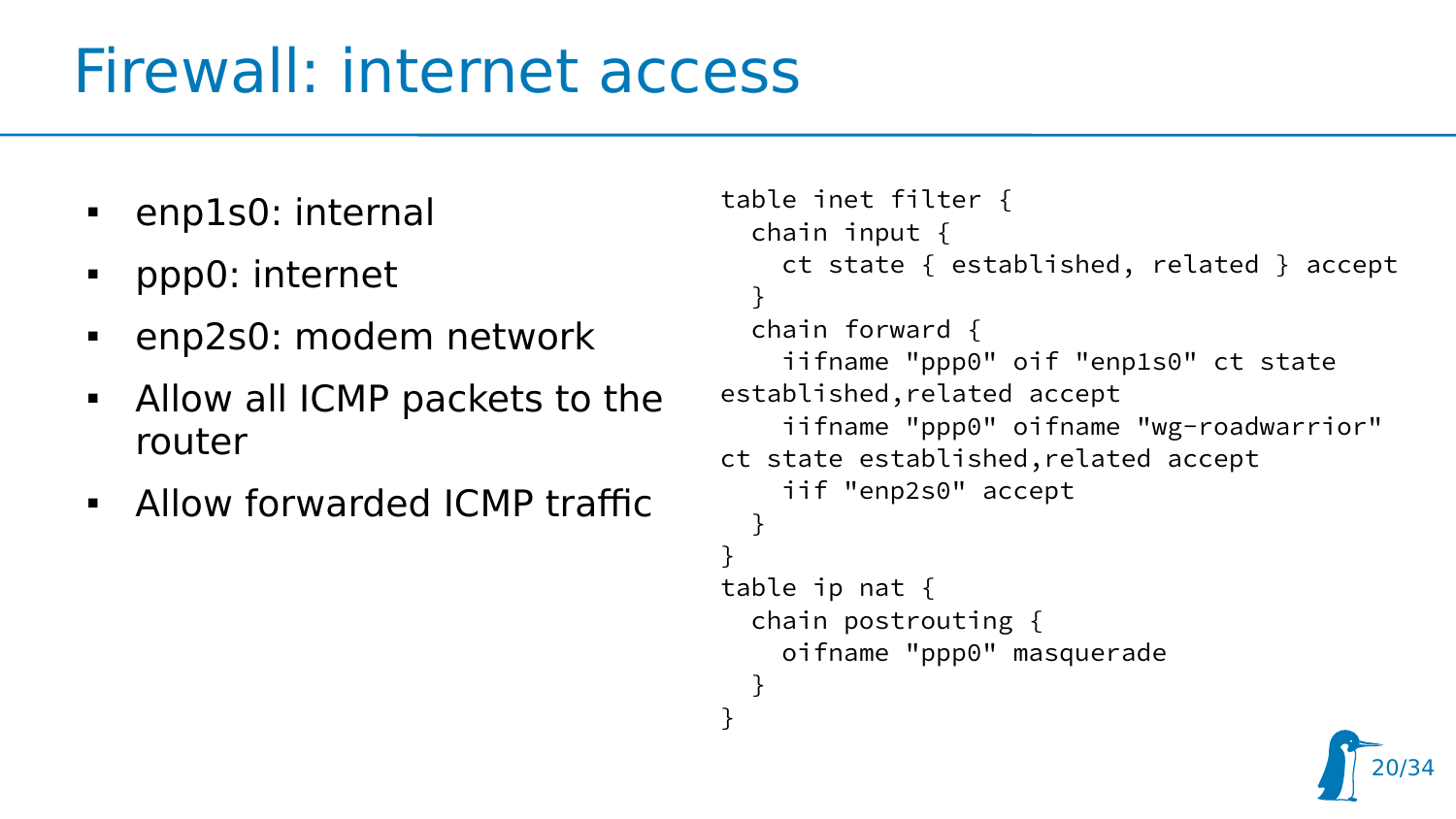## Firewall: internet access

- enp1s0: internal
- ppp0: internet
- enp2s0: modem network
- Allow all ICMP packets to the router
- Allow forwarded ICMP traffic

```
table inet filter {
   chain input {
     ct state { established, related } accept
 }
   chain forward {
     iifname "ppp0" oif "enp1s0" ct state 
established,related accept
     iifname "ppp0" oifname "wg-roadwarrior" 
ct state established,related accept
     iif "enp2s0" accept
  }
}
table ip nat {
   chain postrouting {
     oifname "ppp0" masquerade
 }
}
```
20/34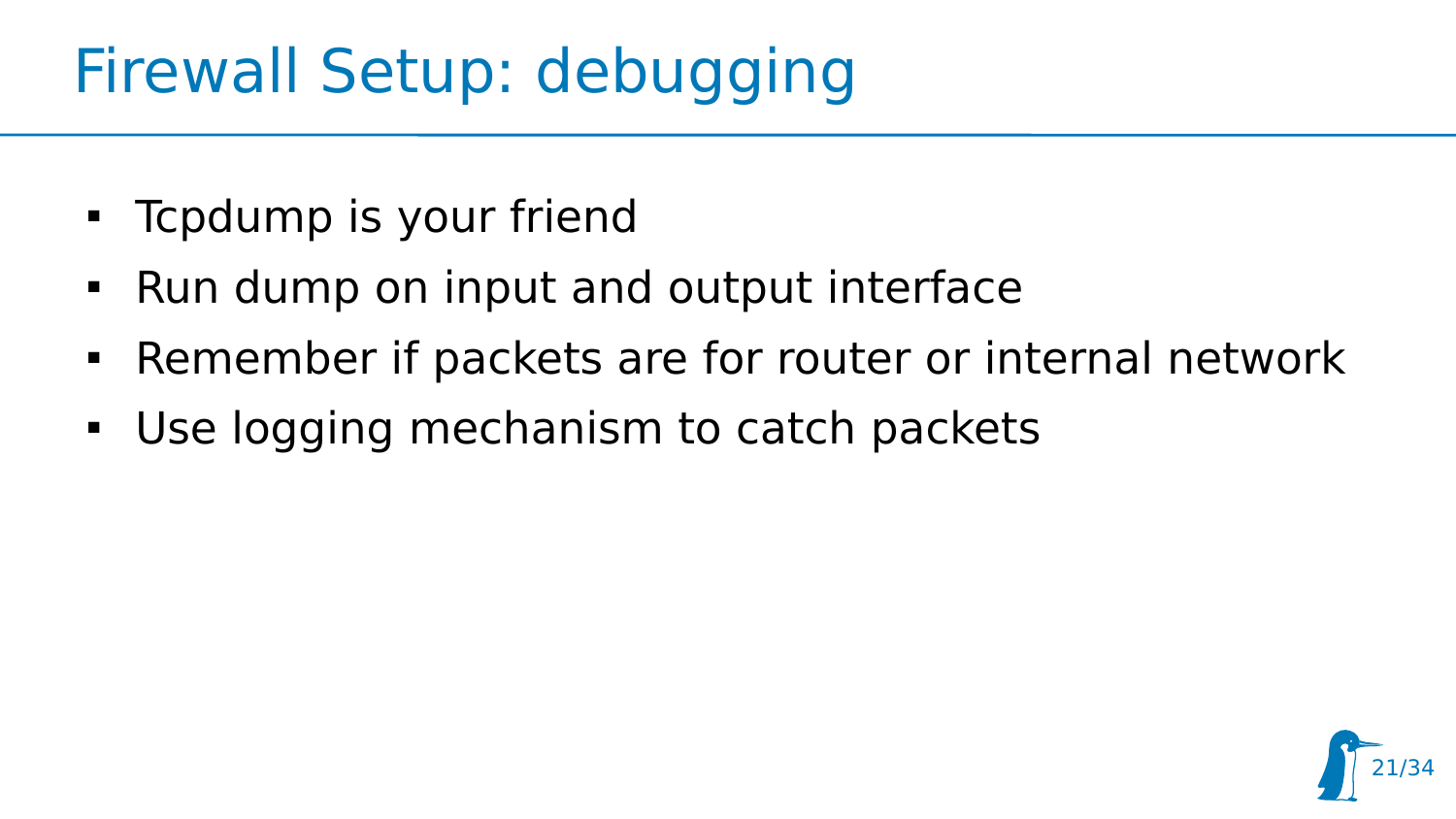## Firewall Setup: debugging

- Tcpdump is your friend
- Run dump on input and output interface
- Remember if packets are for router or internal network
- Use logging mechanism to catch packets

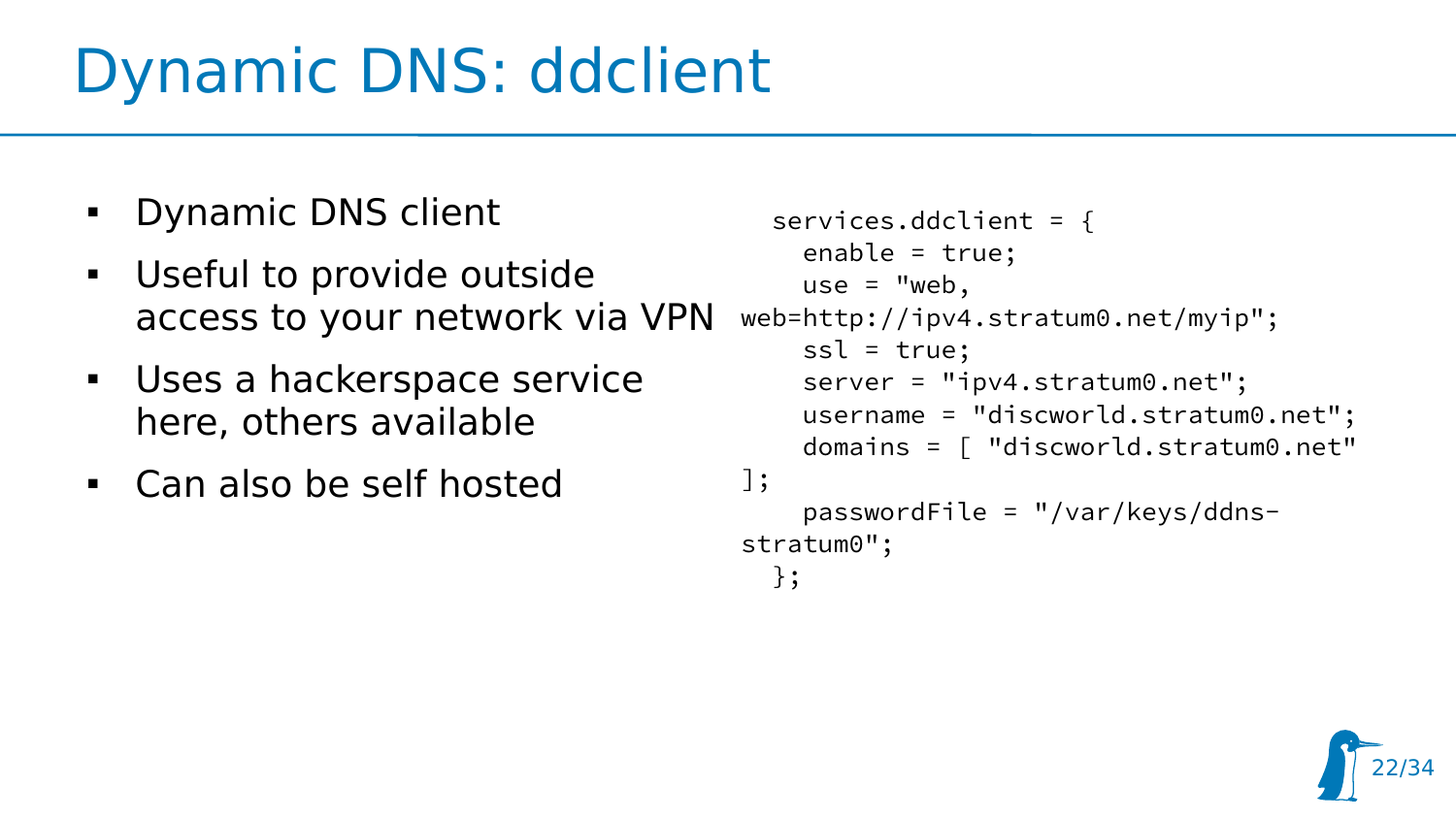## Dynamic DNS: ddclient

- **Dynamic DNS client**
- Useful to provide outside access to your network via VPN
- Uses a hackerspace service here, others available
- Can also be self hosted

```
 services.ddclient = {
     enable = true;
    use = "web.
web=http://ipv4.stratum0.net/myip";
    ssl = true:
     server = "ipv4.stratum0.net";
     username = "discworld.stratum0.net";
     domains = [ "discworld.stratum0.net" 
];
     passwordFile = "/var/keys/ddns-
stratum0";
   };
```
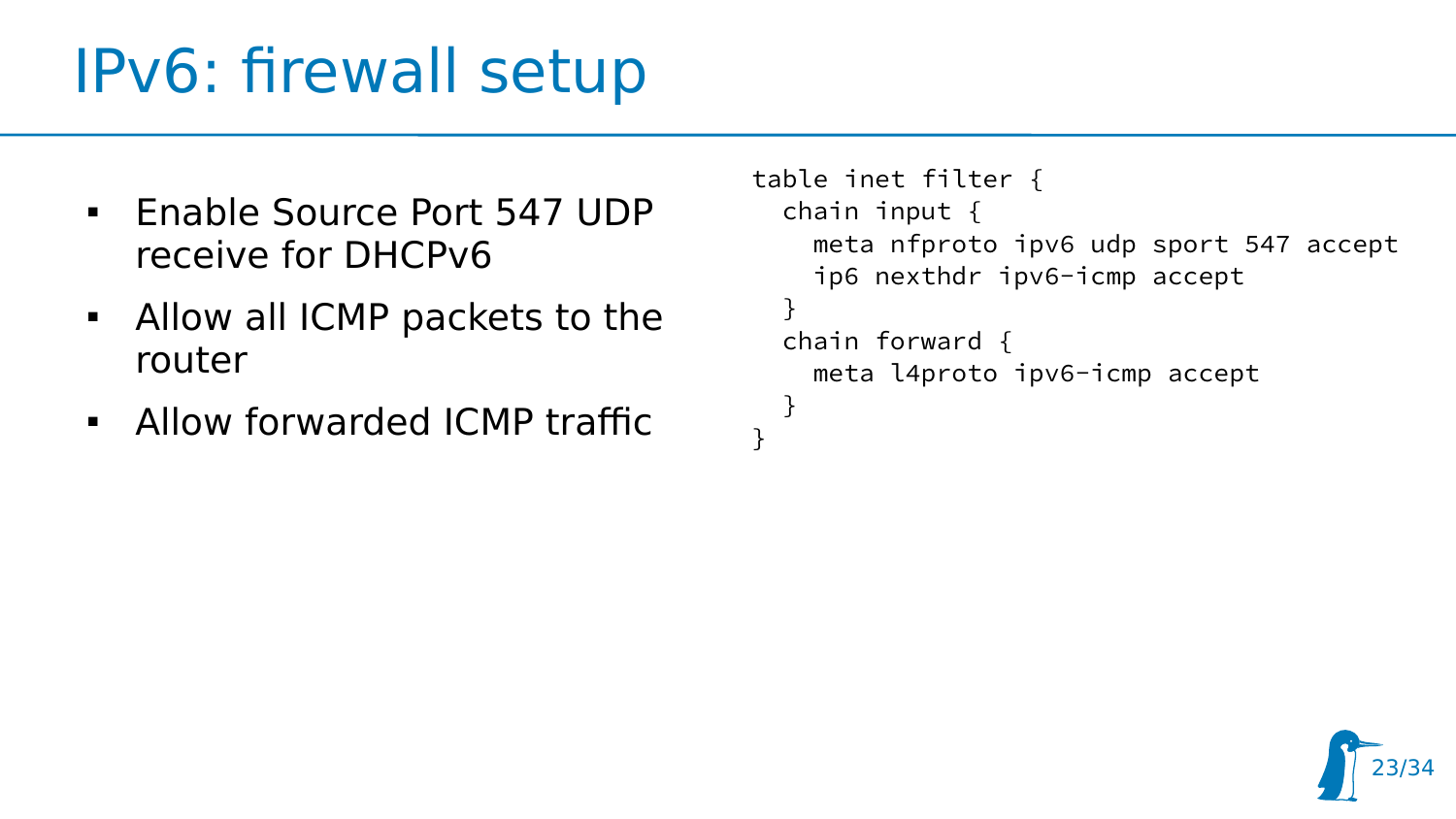## IPv6: firewall setup

- **Enable Source Port 547 UDP** receive for DHCPv6
- Allow all ICMP packets to the router
- Allow forwarded ICMP traffic

```
table inet filter {
   chain input {
     meta nfproto ipv6 udp sport 547 accept
     ip6 nexthdr ipv6-icmp accept
   }
   chain forward {
     meta l4proto ipv6-icmp accept
   }
}
```
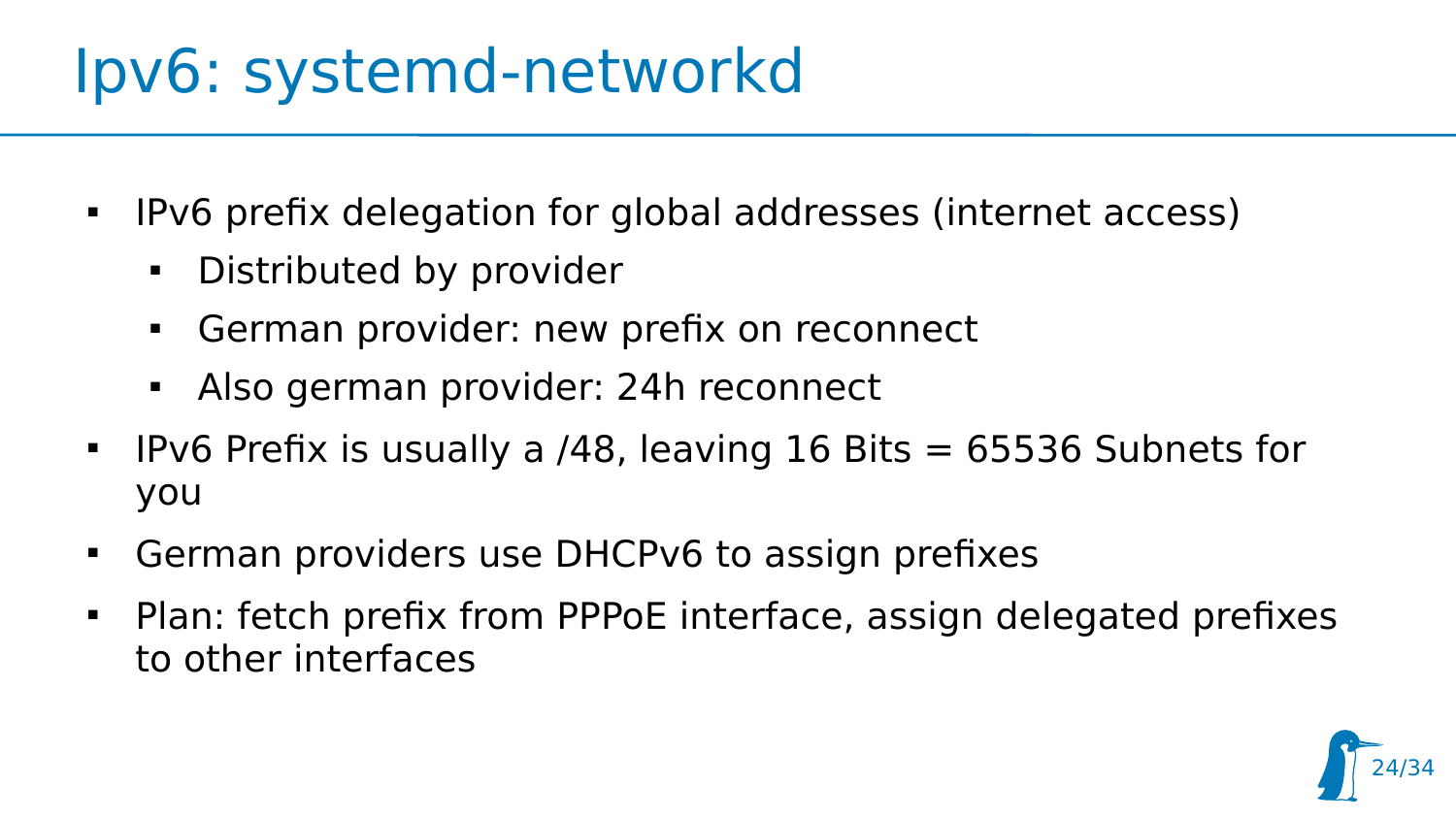### Ipv6: systemd-networkd

- $\blacksquare$ IPv6 prefix delegation for global addresses (internet access)
	- **-** Distributed by provider
	- German provider: new prefix on reconnect
	- Also german provider: 24h reconnect
- $\blacksquare$ **IPv6 Prefix is usually a /48, leaving 16 Bits**  $= 65536$  **Subnets for** you
- German providers use DHCPv6 to assign prefixes
- Plan: fetch prefix from PPPoE interface, assign delegated prefixes to other interfaces

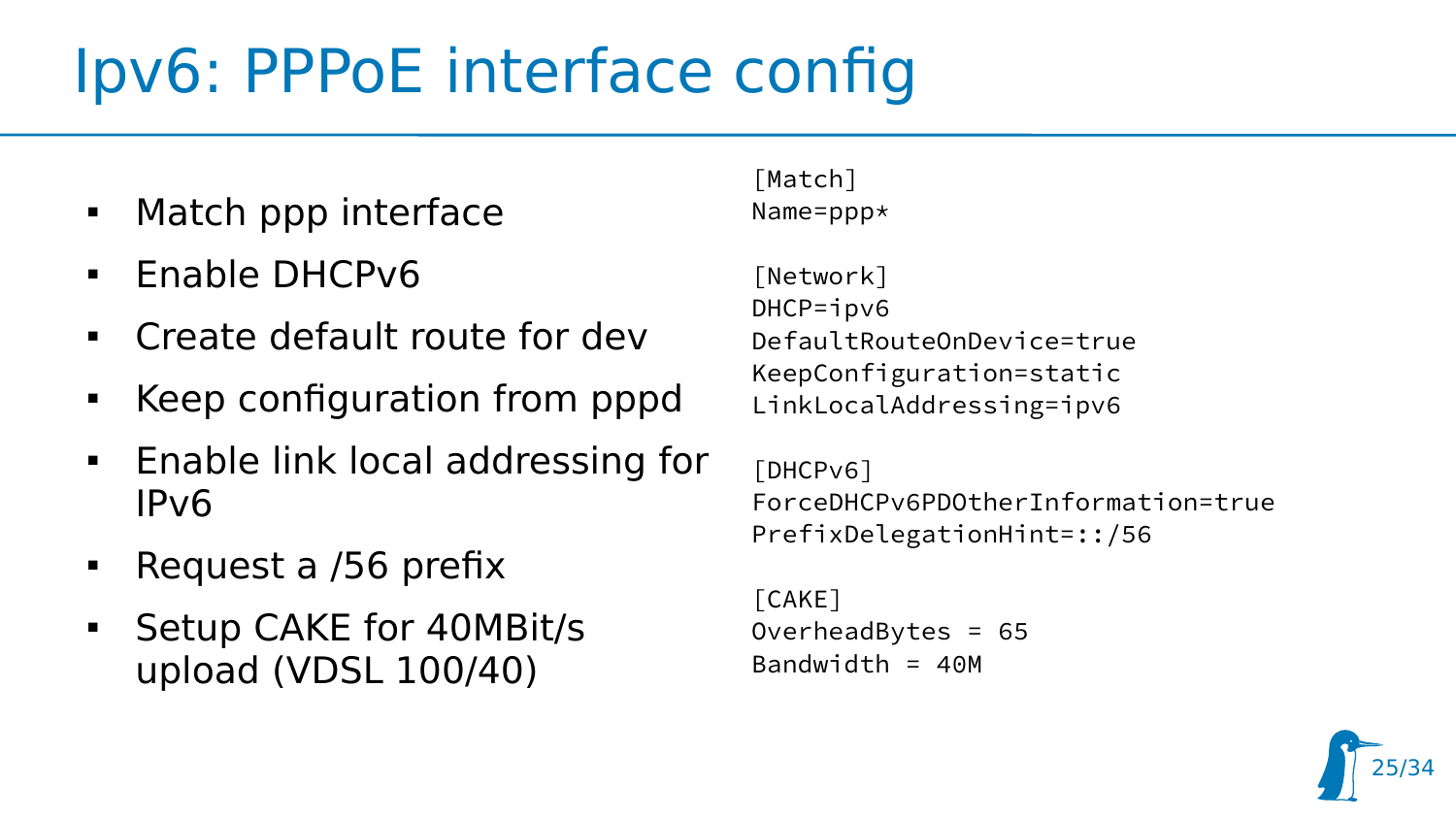## Ipv6: PPPoE interface config

- Match ppp interface
- $\blacksquare$  Enable DHCPv6
- Create default route for dev
- Keep configuration from pppd
- **Enable link local addressing for** IPv6
- Request a /56 prefix
- **Setup CAKE for 40MBit/s** upload (VDSL 100/40)

[Match] Name=ppp\*

[Network] DHCP=ipv6 DefaultRouteOnDevice=true KeepConfiguration=static LinkLocalAddressing=ipv6

[DHCPv6] ForceDHCPv6PDOtherInformation=true PrefixDelegationHint=::/56

[CAKE] OverheadBytes = 65 Bandwidth =  $40M$ 

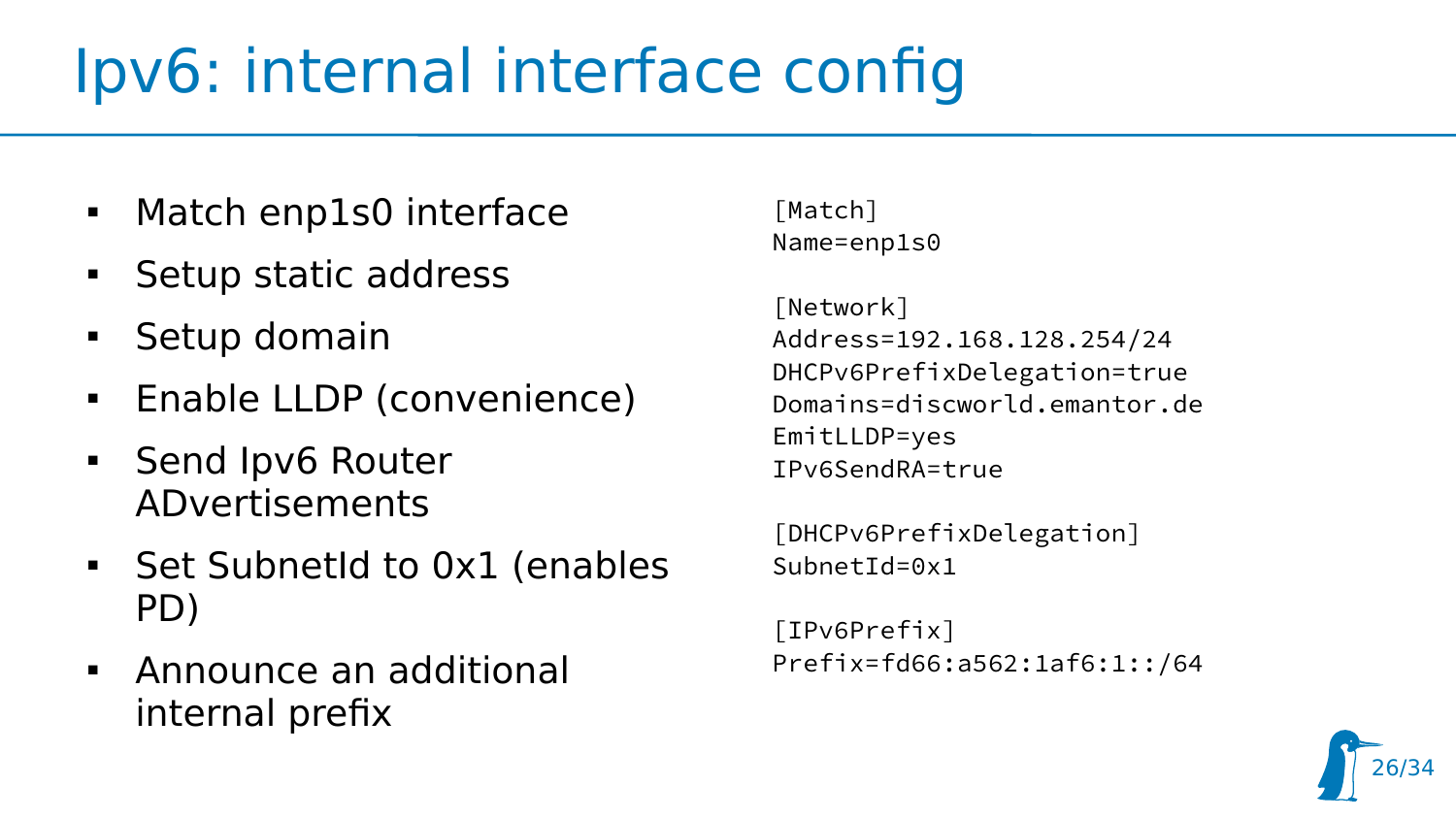## Ipv6: internal interface config

- Match enp1s0 interface
- Setup static address
- Setup domain
- **Enable LLDP (convenience)**
- **Send Ipv6 Router** ADvertisements
- **Set SubnetId to 0x1 (enables** PD)
- Announce an additional internal prefix

[Match] Name=enp1s0

[Network] Address=192.168.128.254/24 DHCPv6PrefixDelegation=true Domains=discworld.emantor.de EmitLLDP=yes IPv6SendRA=true

[DHCPv6PrefixDelegation]  $SubnetId=0x1$ 

```
[IPv6Prefix]
Prefix=fd66:a562:1af6:1::/64
```
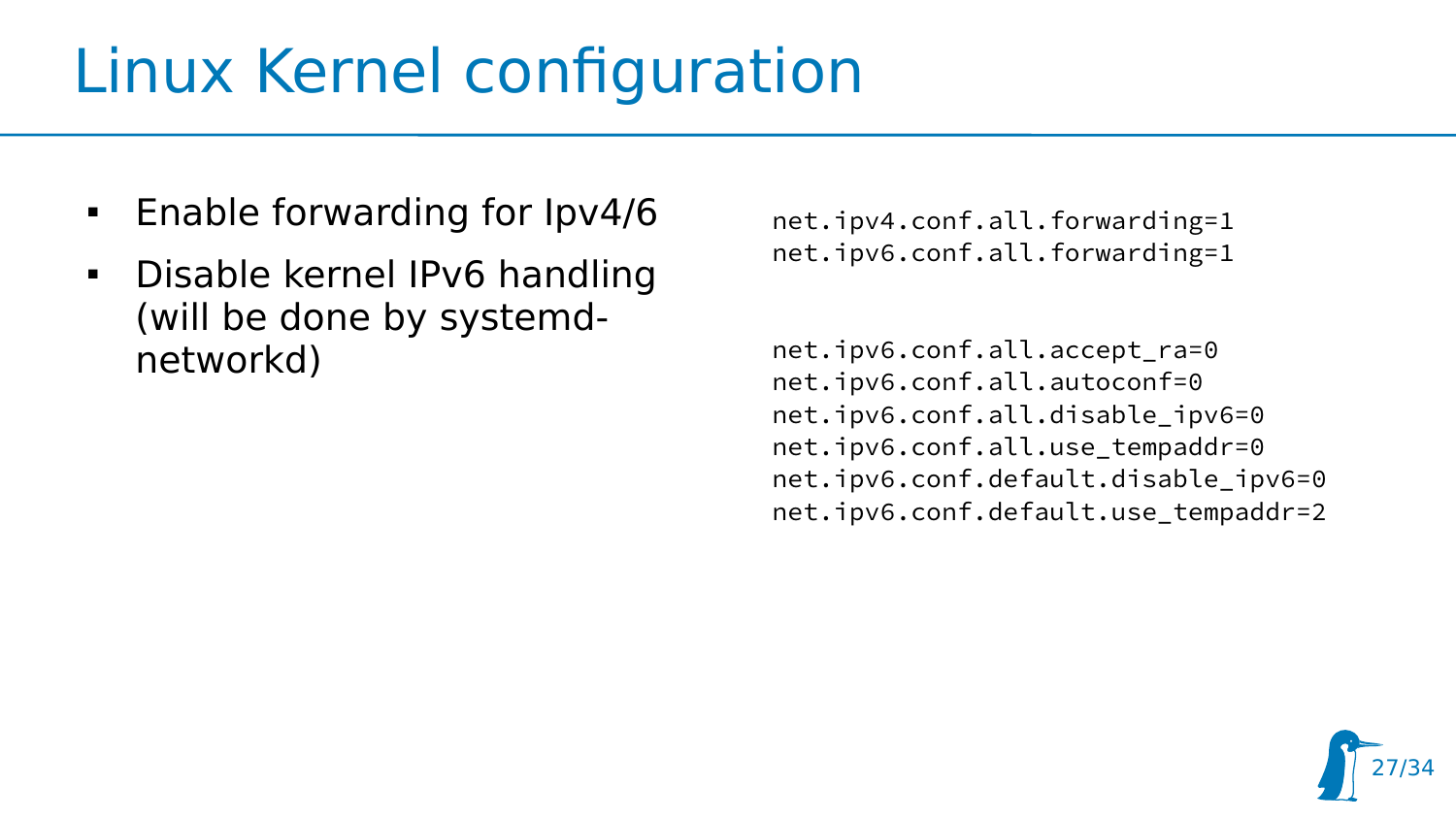## Linux Kernel configuration

- **Enable forwarding for Ipv4/6**
- **-** Disable kernel IPv6 handling (will be done by systemdnetworkd)

net.ipv4.conf.all.forwarding=1 net.ipv6.conf.all.forwarding=1

net.ipv6.conf.all.accept\_ra=0 net.ipv6.conf.all.autoconf=0 net.ipv6.conf.all.disable\_ipv6=0 net.ipv6.conf.all.use\_tempaddr=0 net.ipv6.conf.default.disable\_ipv6=0 net.ipv6.conf.default.use\_tempaddr=2

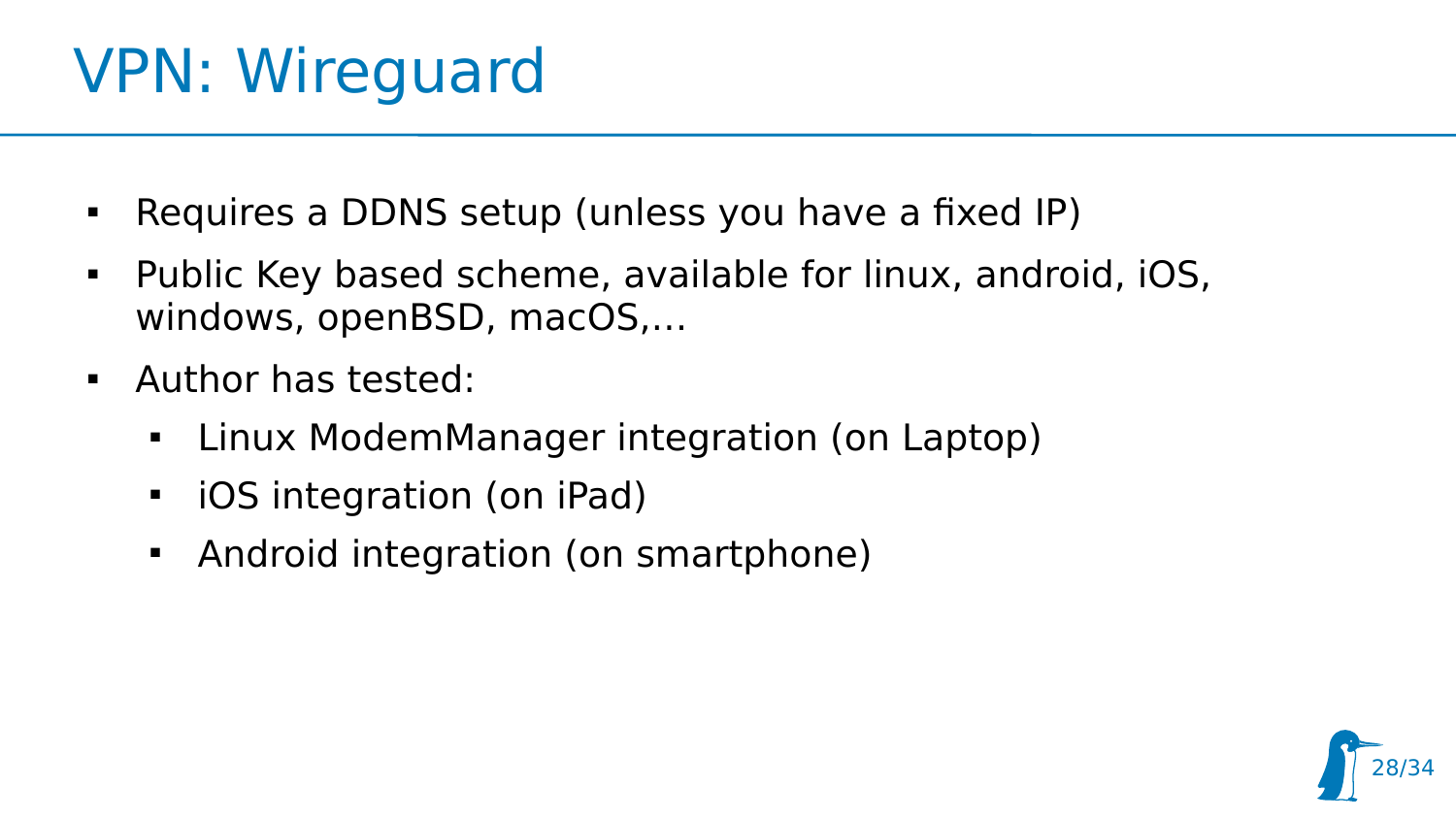## VPN: Wireguard

- Requires a DDNS setup (unless you have a fixed IP)
- Public Key based scheme, available for linux, android, iOS, windows, openBSD, macOS,…

28/34

- Author has tested:
	- Linux ModemManager integration (on Laptop)
	- ▊ iOS integration (on iPad)
	- Android integration (on smartphone)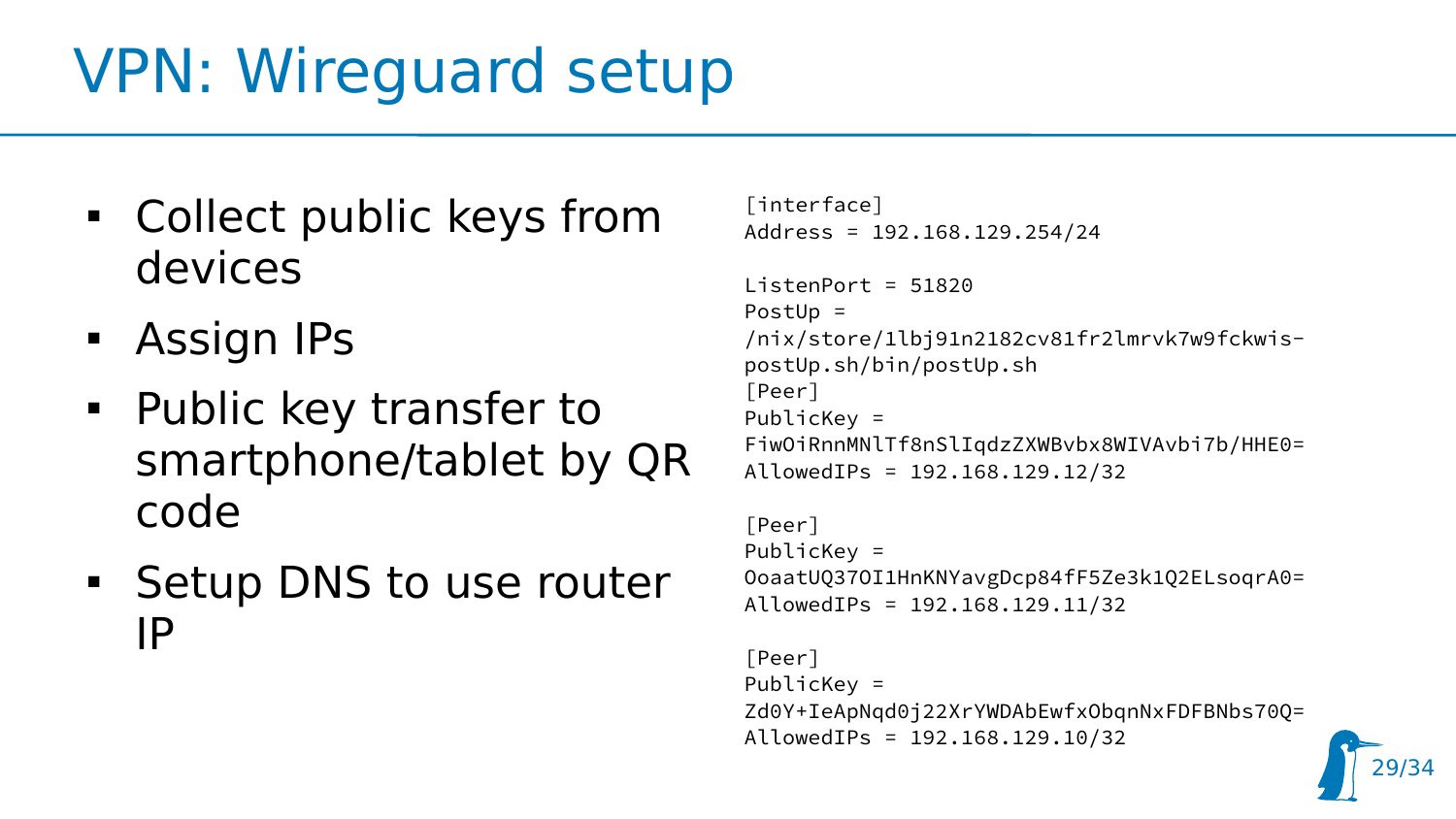## VPN: Wireguard setup

- Collect public keys from devices
- **Assign IPs**
- **Public key transfer to** smartphone/tablet by QR code
- **Setup DNS to use router** IP

```
[interface]
Address = 192.168.129.254/24
```

```
ListenPort = 51820PostUp = 
/nix/store/1lbj91n2182cv81fr2lmrvk7w9fckwis-
postUp.sh/bin/postUp.sh
[Peer]
PublicKey = 
FiwOiRnnMNlTf8nSlIqdzZXWBvbx8WIVAvbi7b/HHE0=
AllowedIPs = 192.168.129.12/32
```

```
[Peer]
PublicKey = 
OoaatUQ37OI1HnKNYavgDcp84fF5Ze3k1Q2ELsoqrA0=
AllowedIPs = 192.168.129.11/32
```

```
[Peer]
PublicKey = 
Zd0Y+IeApNqd0j22XrYWDAbEwfxObqnNxFDFBNbs70Q=
AllowedIPs = 192.168.129.10/32
```
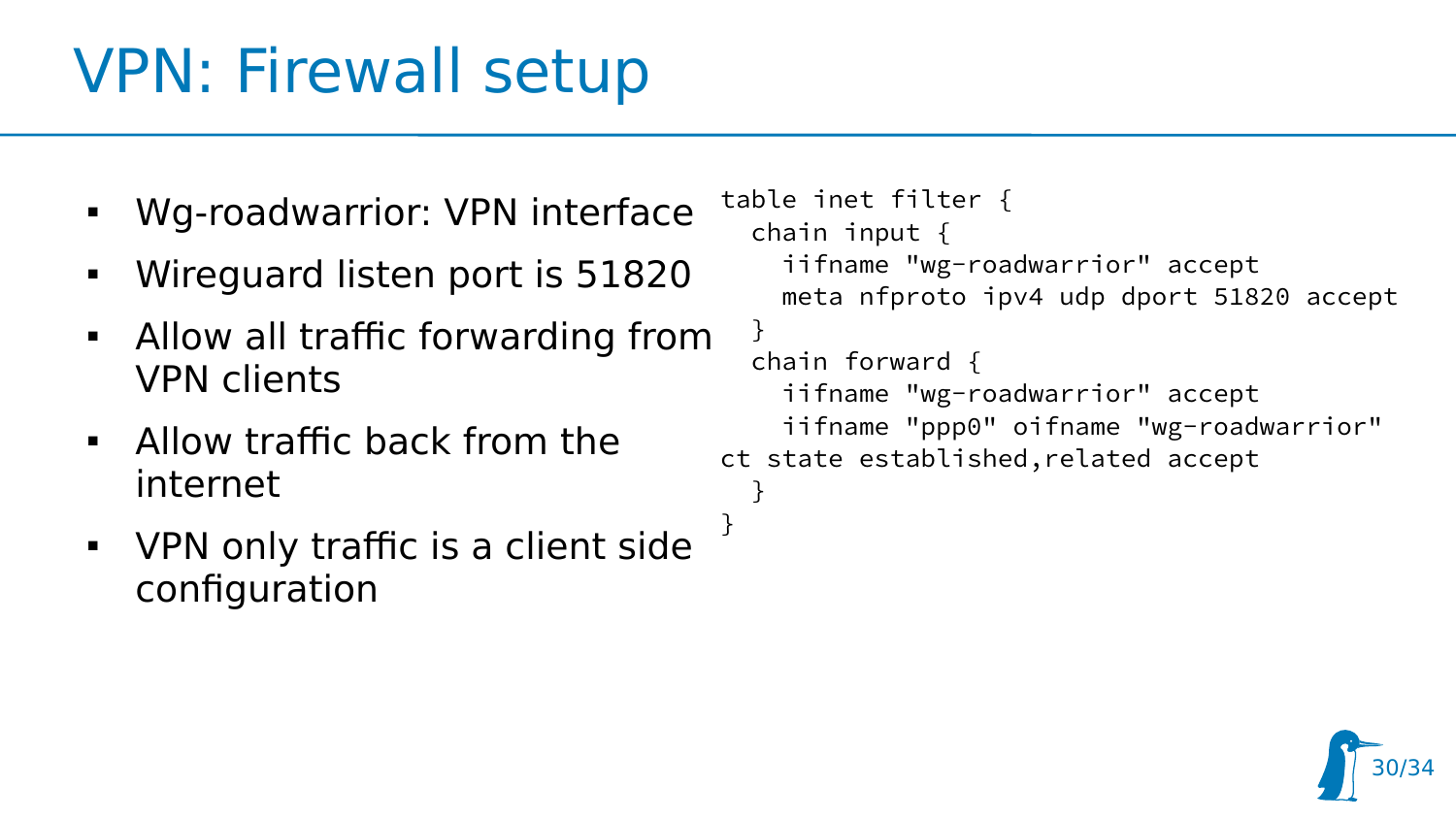## VPN: Firewall setup

- Wg-roadwarrior: VPN interface
- Wireguard listen port is 51820
- Allow all traffic forwarding from VPN clients
- Allow traffic back from the internet
- VPN only traffic is a client side configuration

```
table inet filter {
   chain input {
     iifname "wg-roadwarrior" accept
     meta nfproto ipv4 udp dport 51820 accept
   }
   chain forward {
     iifname "wg-roadwarrior" accept
     iifname "ppp0" oifname "wg-roadwarrior" 
ct state established,related accept
   }
}
```
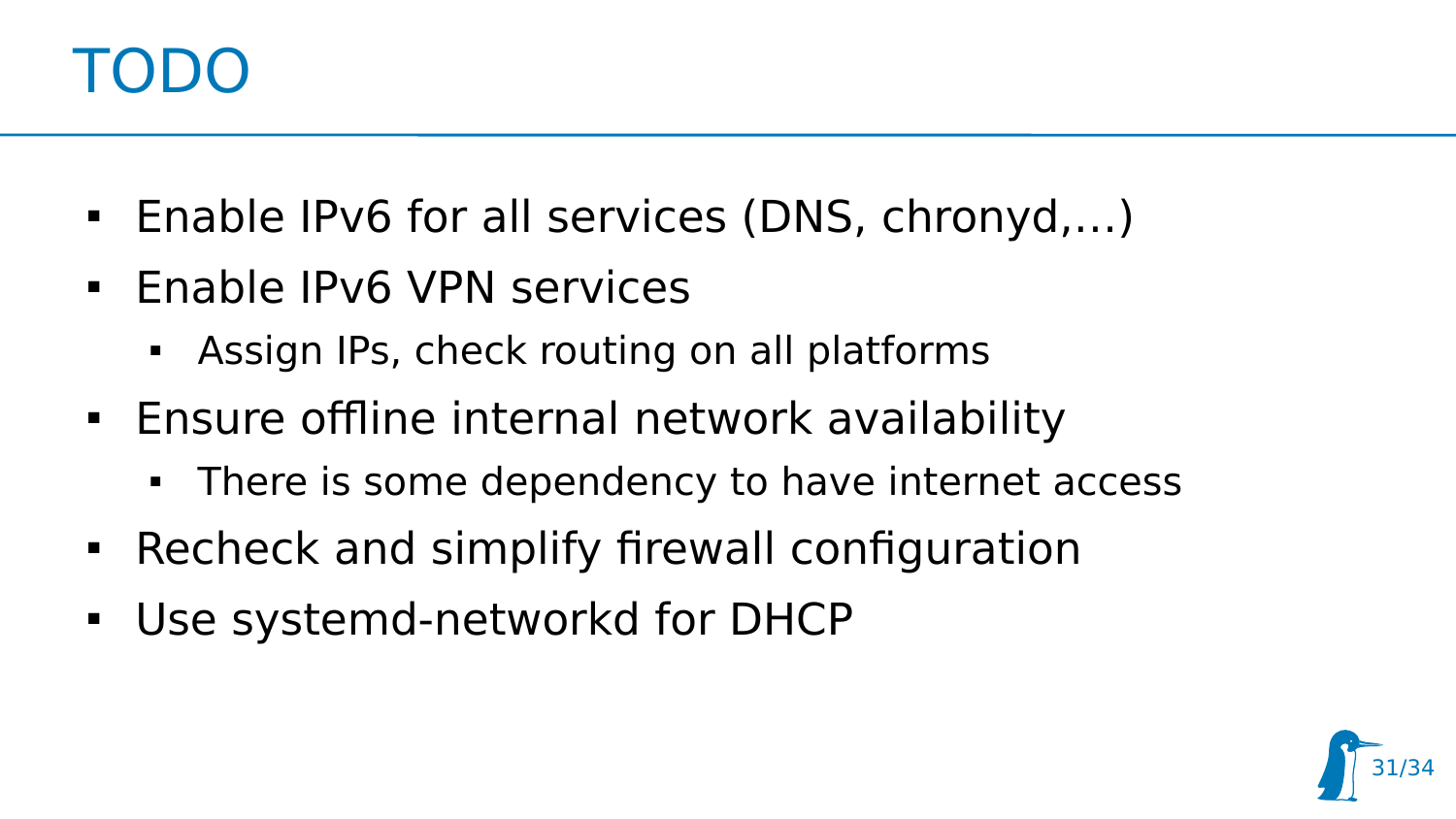#### TODO

- Enable IPv6 for all services (DNS, chronyd,...)
- **Enable IPv6 VPN services** 
	- Assign IPs, check routing on all platforms
- **Ensure offline internal network availability** 
	- There is some dependency to have internet access
- Recheck and simplify firewall configuration
- Use systemd-networkd for DHCP

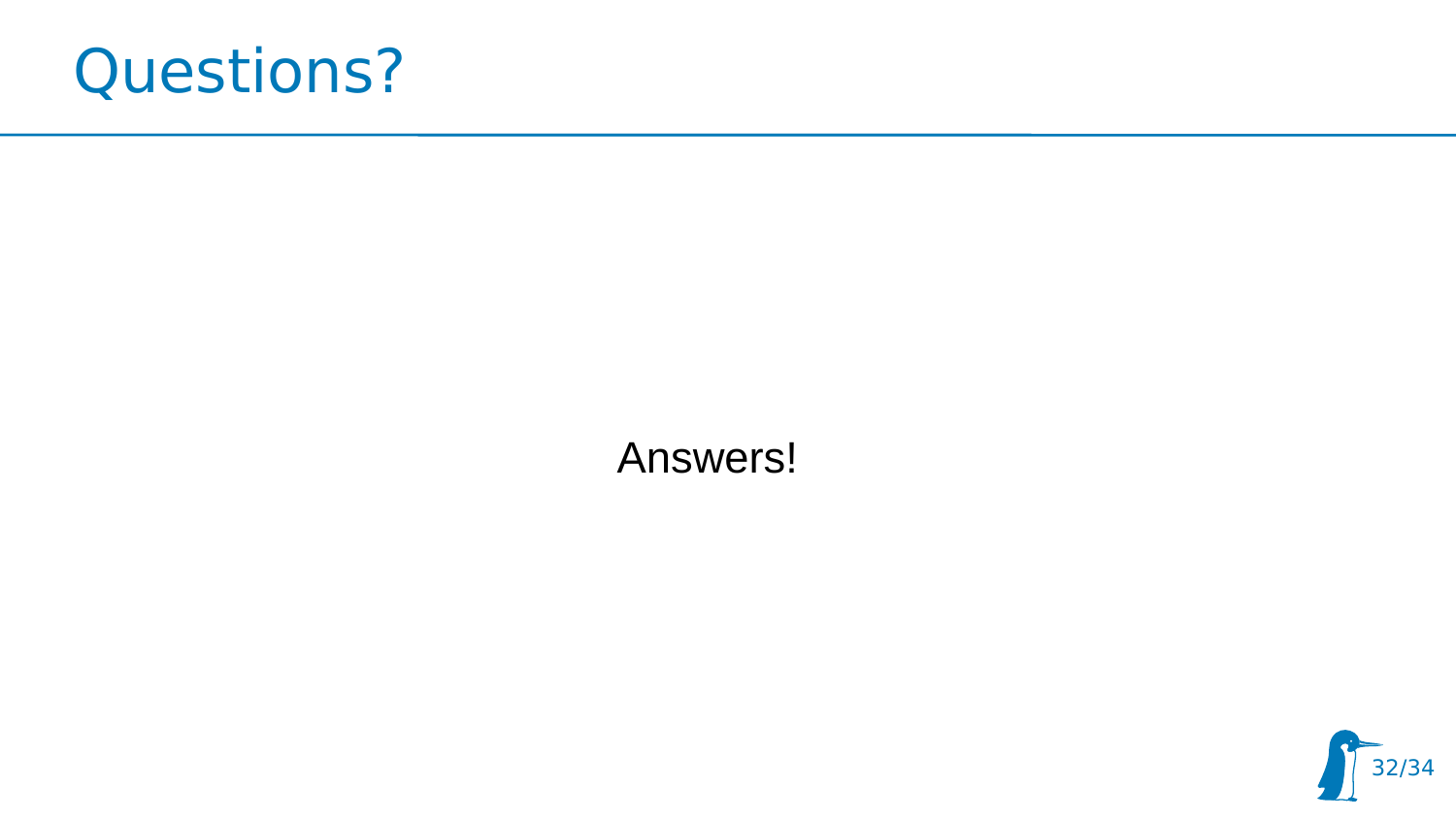

Answers!

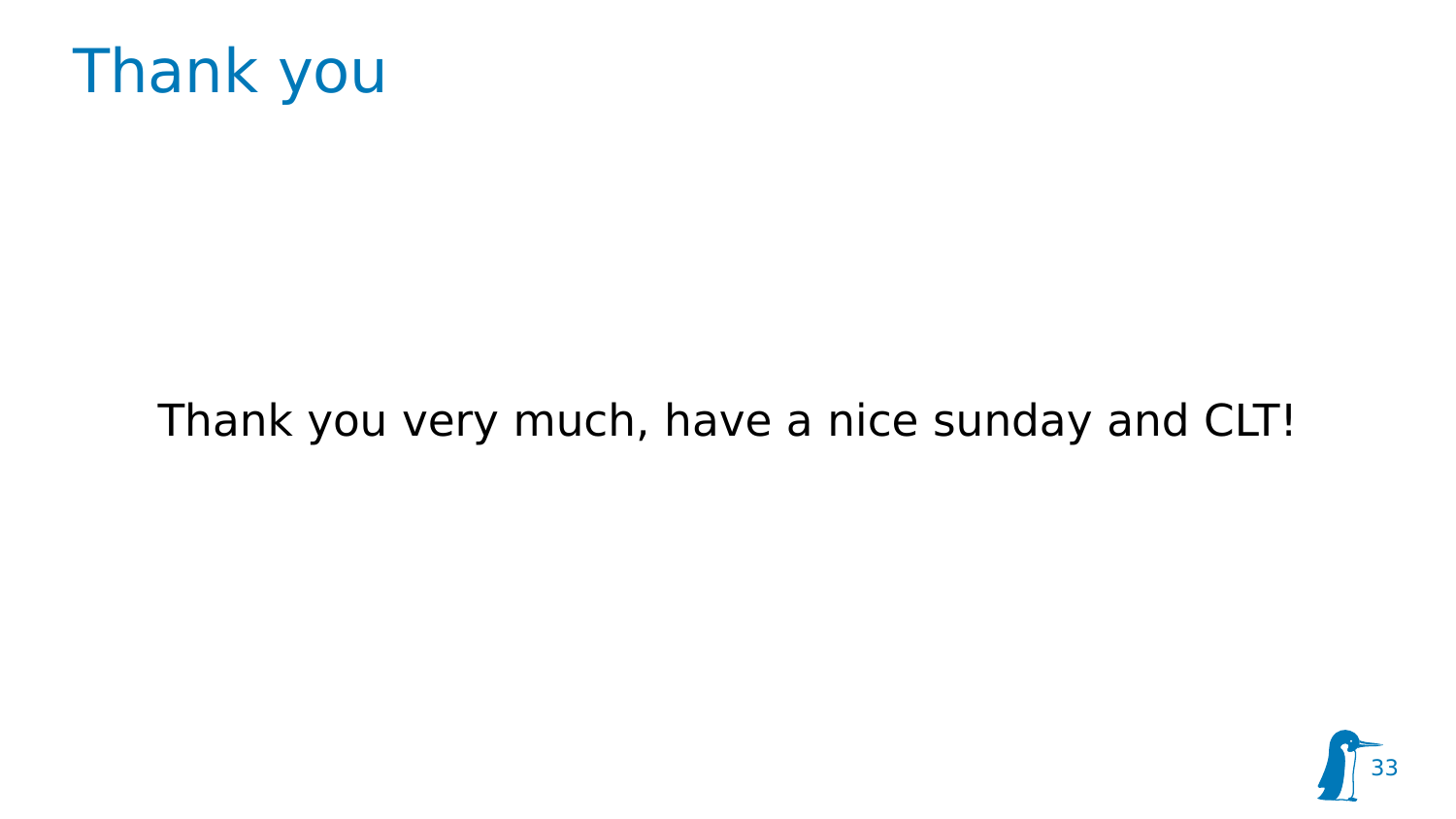

#### Thank you very much, have a nice sunday and CLT!